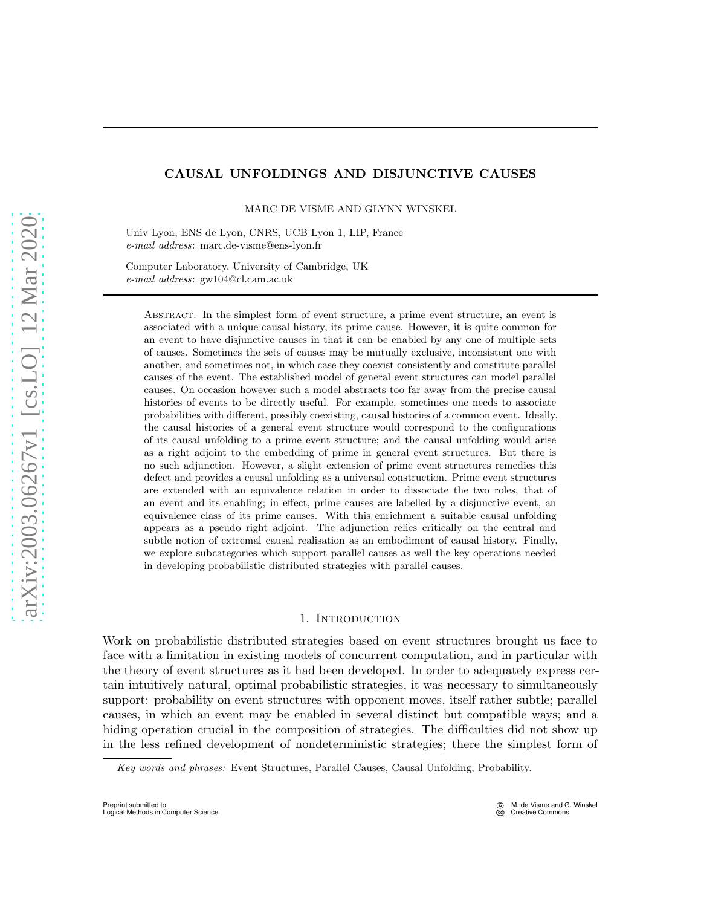# CAUSAL UNFOLDINGS AND DISJUNCTIVE CAUSES

MARC DE VISME AND GLYNN WINSKEL

Univ Lyon, ENS de Lyon, CNRS, UCB Lyon 1, LIP, France *e-mail address*: marc.de-visme@ens-lyon.fr

Computer Laboratory, University of Cambridge, UK *e-mail address*: gw104@cl.cam.ac.uk

Abstract. In the simplest form of event structure, a prime event structure, an event is associated with a unique causal history, its prime cause. However, it is quite common for an event to have disjunctive causes in that it can be enabled by any one of multiple sets of causes. Sometimes the sets of causes may be mutually exclusive, inconsistent one with another, and sometimes not, in which case they coexist consistently and constitute parallel causes of the event. The established model of general event structures can model parallel causes. On occasion however such a model abstracts too far away from the precise causal histories of events to be directly useful. For example, sometimes one needs to associate probabilities with different, possibly coexisting, causal histories of a common event. Ideally, the causal histories of a general event structure would correspond to the configurations of its causal unfolding to a prime event structure; and the causal unfolding would arise as a right adjoint to the embedding of prime in general event structures. But there is no such adjunction. However, a slight extension of prime event structures remedies this defect and provides a causal unfolding as a universal construction. Prime event structures are extended with an equivalence relation in order to dissociate the two roles, that of an event and its enabling; in effect, prime causes are labelled by a disjunctive event, an equivalence class of its prime causes. With this enrichment a suitable causal unfolding appears as a pseudo right adjoint. The adjunction relies critically on the central and subtle notion of extremal causal realisation as an embodiment of causal history. Finally, we explore subcategories which support parallel causes as well the key operations needed in developing probabilistic distributed strategies with parallel causes.

### 1. INTRODUCTION

Work on probabilistic distributed strategies based on event structures brought us face to face with a limitation in existing models of concurrent computation, and in particular with the theory of event structures as it had been developed. In order to adequately express certain intuitively natural, optimal probabilistic strategies, it was necessary to simultaneously support: probability on event structures with opponent moves, itself rather subtle; parallel causes, in which an event may be enabled in several distinct but compatible ways; and a hiding operation crucial in the composition of strategies. The difficulties did not show up in the less refined development of nondeterministic strategies; there the simplest form of

*Key words and phrases:* Event Structures, Parallel Causes, Causal Unfolding, Probability.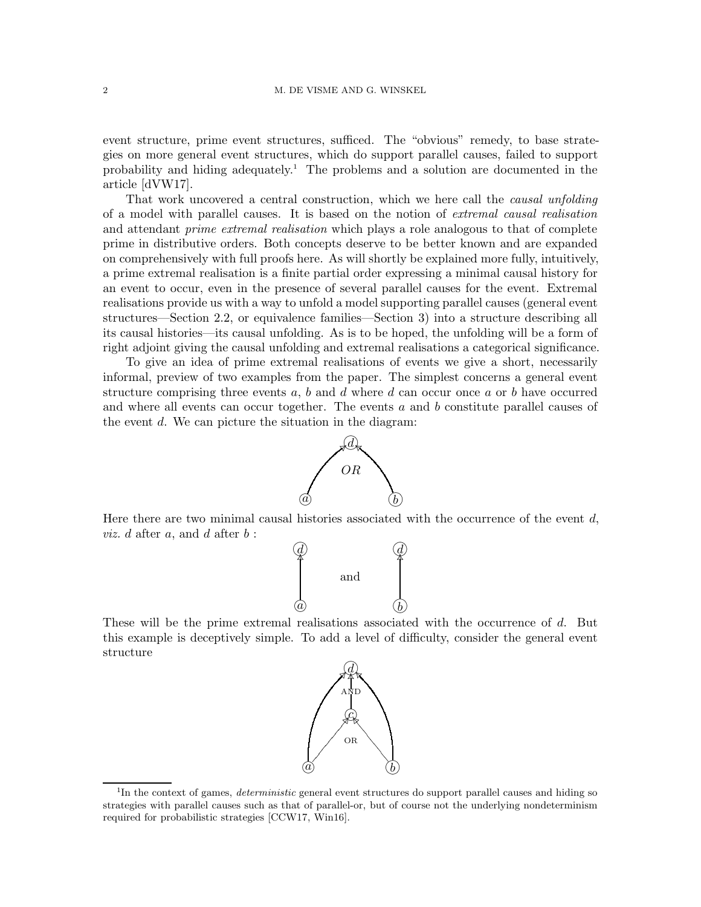event structure, prime event structures, sufficed. The "obvious" remedy, to base strategies on more general event structures, which do support parallel causes, failed to support probability and hiding adequately.[1](#page-1-0) The problems and a solution are documented in the article [\[dVW17\]](#page-24-0).

That work uncovered a central construction, which we here call the *causal unfolding* of a model with parallel causes. It is based on the notion of extremal causal realisation and attendant *prime extremal realisation* which plays a role analogous to that of complete prime in distributive orders. Both concepts deserve to be better known and are expanded on comprehensively with full proofs here. As will shortly be explained more fully, intuitively, a prime extremal realisation is a finite partial order expressing a minimal causal history for an event to occur, even in the presence of several parallel causes for the event. Extremal realisations provide us with a way to unfold a model supporting parallel causes (general event structures—Section [2.2,](#page-3-0) or equivalence families—Section [3\)](#page-6-0) into a structure describing all its causal histories—its causal unfolding. As is to be hoped, the unfolding will be a form of right adjoint giving the causal unfolding and extremal realisations a categorical significance.

To give an idea of prime extremal realisations of events we give a short, necessarily informal, preview of two examples from the paper. The simplest concerns a general event structure comprising three events  $a, b$  and  $d$  where  $d$  can occur once  $a$  or  $b$  have occurred and where all events can occur together. The events  $a$  and  $b$  constitute parallel causes of the event d. We can picture the situation in the diagram:



Here there are two minimal causal histories associated with the occurrence of the event  $d$ , *viz.*  $d$  after  $a$ , and  $d$  after  $b$  :



These will be the prime extremal realisations associated with the occurrence of d. But this example is deceptively simple. To add a level of difficulty, consider the general event structure



<span id="page-1-0"></span><sup>&</sup>lt;sup>1</sup>In the context of games, *deterministic* general event structures do support parallel causes and hiding so strategies with parallel causes such as that of parallel-or, but of course not the underlying nondeterminism required for probabilistic strategies [\[CCW17,](#page-24-1) [Win16\]](#page-24-2).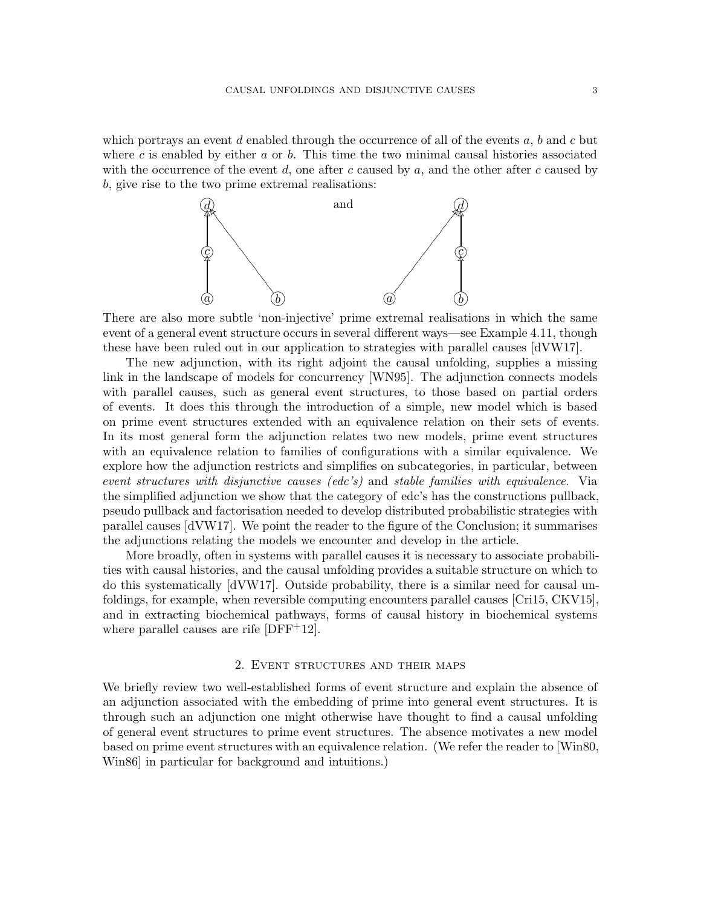which portrays an event d enabled through the occurrence of all of the events  $a, b$  and c but where c is enabled by either  $a$  or  $b$ . This time the two minimal causal histories associated with the occurrence of the event d, one after c caused by  $a$ , and the other after c caused by b, give rise to the two prime extremal realisations:



There are also more subtle 'non-injective' prime extremal realisations in which the same event of a general event structure occurs in several different ways—see Example [4.11,](#page-12-0) though these have been ruled out in our application to strategies with parallel causes [\[dVW17\]](#page-24-0).

The new adjunction, with its right adjoint the causal unfolding, supplies a missing link in the landscape of models for concurrency [\[WN95\]](#page-24-3). The adjunction connects models with parallel causes, such as general event structures, to those based on partial orders of events. It does this through the introduction of a simple, new model which is based on prime event structures extended with an equivalence relation on their sets of events. In its most general form the adjunction relates two new models, prime event structures with an equivalence relation to families of configurations with a similar equivalence. We explore how the adjunction restricts and simplifies on subcategories, in particular, between event structures with disjunctive causes (edc's) and stable families with equivalence. Via the simplified adjunction we show that the category of edc's has the constructions pullback, pseudo pullback and factorisation needed to develop distributed probabilistic strategies with parallel causes [\[dVW17\]](#page-24-0). We point the reader to the figure of the Conclusion; it summarises the adjunctions relating the models we encounter and develop in the article.

More broadly, often in systems with parallel causes it is necessary to associate probabilities with causal histories, and the causal unfolding provides a suitable structure on which to do this systematically [\[dVW17\]](#page-24-0). Outside probability, there is a similar need for causal unfoldings, for example, when reversible computing encounters parallel causes [\[Cri15,](#page-24-4) [CKV15\]](#page-24-5), and in extracting biochemical pathways, forms of causal history in biochemical systems where parallel causes are rife [\[DFF](#page-24-6)<sup>+</sup>12].

### 2. Event structures and their maps

We briefly review two well-established forms of event structure and explain the absence of an adjunction associated with the embedding of prime into general event structures. It is through such an adjunction one might otherwise have thought to find a causal unfolding of general event structures to prime event structures. The absence motivates a new model based on prime event structures with an equivalence relation. (We refer the reader to [\[Win80,](#page-24-7) [Win86\]](#page-24-8) in particular for background and intuitions.)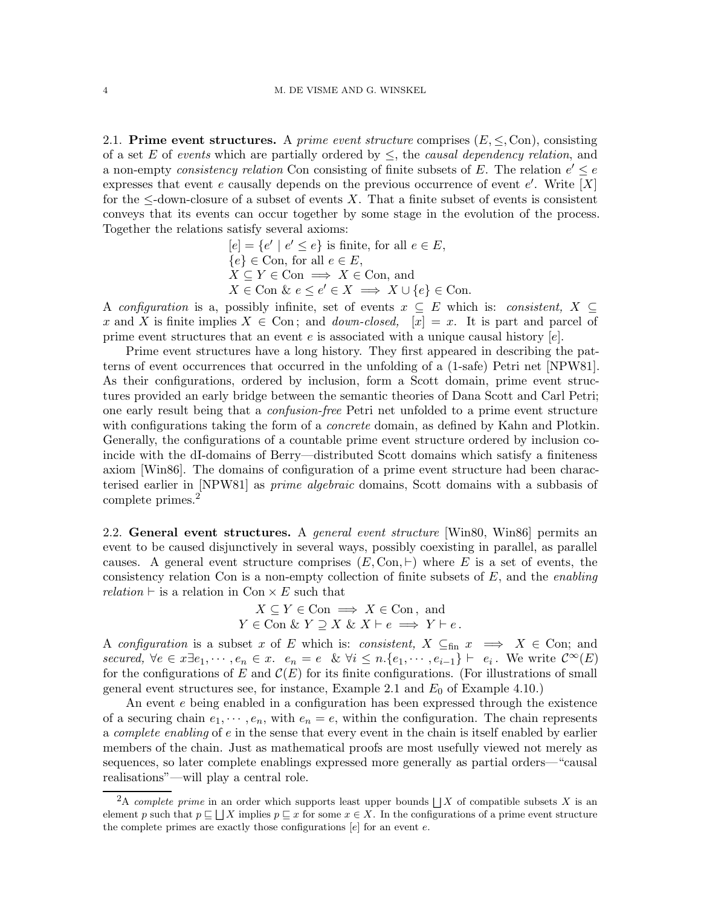2.1. Prime event structures. A prime event structure comprises  $(E, \le, Con)$ , consisting of a set E of events which are partially ordered by  $\leq$ , the causal dependency relation, and a non-empty consistency relation Con consisting of finite subsets of E. The relation  $e' \leq e$ expresses that event e causally depends on the previous occurrence of event e'. Write  $[X]$ for the  $\leq$ -down-closure of a subset of events X. That a finite subset of events is consistent conveys that its events can occur together by some stage in the evolution of the process. Together the relations satisfy several axioms:

$$
[e] = \{e' \mid e' \le e\} \text{ is finite, for all } e \in E,
$$
  

$$
\{e\} \in \text{Con, for all } e \in E,
$$
  

$$
X \subseteq Y \in \text{Con} \implies X \in \text{Con, and}
$$
  

$$
X \in \text{Con} \& e \le e' \in X \implies X \cup \{e\} \in \text{Con.}
$$

A configuration is a, possibly infinite, set of events  $x \subseteq E$  which is: consistent,  $X \subseteq$ x and X is finite implies  $X \in \text{Con}$ ; and *down-closed*,  $[x] = x$ . It is part and parcel of prime event structures that an event  $e$  is associated with a unique causal history  $[e]$ .

Prime event structures have a long history. They first appeared in describing the patterns of event occurrences that occurred in the unfolding of a (1-safe) Petri net [\[NPW81\]](#page-24-9). As their configurations, ordered by inclusion, form a Scott domain, prime event structures provided an early bridge between the semantic theories of Dana Scott and Carl Petri; one early result being that a confusion-free Petri net unfolded to a prime event structure with configurations taking the form of a *concrete* domain, as defined by Kahn and Plotkin. Generally, the configurations of a countable prime event structure ordered by inclusion coincide with the dI-domains of Berry—distributed Scott domains which satisfy a finiteness axiom [\[Win86\]](#page-24-8). The domains of configuration of a prime event structure had been characterised earlier in [\[NPW81\]](#page-24-9) as prime algebraic domains, Scott domains with a subbasis of complete primes.<sup>[2](#page-3-1)</sup>

<span id="page-3-0"></span>2.2. General event structures. A general event structure [\[Win80,](#page-24-7) [Win86\]](#page-24-8) permits an event to be caused disjunctively in several ways, possibly coexisting in parallel, as parallel causes. A general event structure comprises  $(E, \text{Con}, \vdash)$  where E is a set of events, the consistency relation Con is a non-empty collection of finite subsets of  $E$ , and the *enabling* relation  $\vdash$  is a relation in Con  $\times$  E such that

$$
X \subseteq Y \in \text{Con} \implies X \in \text{Con}, \text{ and}
$$
  

$$
Y \in \text{Con} \& Y \supseteq X \& X \vdash e \implies Y \vdash e.
$$

A configuration is a subset x of E which is: consistent,  $X \subseteq_{fin} x \implies X \in$  Con; and secured,  $\forall e \in x \exists e_1, \dots, e_n \in x$ .  $e_n = e \& \forall i \leq n \{e_1, \dots, e_{i-1}\} \vdash e_i$ . We write  $\mathcal{C}^{\infty}(E)$ for the configurations of E and  $\mathcal{C}(E)$  for its finite configurations. (For illustrations of small general event structures see, for instance, Example [2.1](#page-5-0) and  $E_0$  of Example [4.10.](#page-12-1))

An event e being enabled in a configuration has been expressed through the existence of a securing chain  $e_1, \dots, e_n$ , with  $e_n = e$ , within the configuration. The chain represents a complete enabling of e in the sense that every event in the chain is itself enabled by earlier members of the chain. Just as mathematical proofs are most usefully viewed not merely as sequences, so later complete enablings expressed more generally as partial orders—"causal realisations"—will play a central role.

<span id="page-3-1"></span><sup>&</sup>lt;sup>2</sup>A *complete prime* in an order which supports least upper bounds  $\iint X$  of compatible subsets X is an element p such that  $p \sqsubseteq \sqcup X$  implies  $p \sqsubseteq x$  for some  $x \in X$ . In the configurations of a prime event structure the complete primes are exactly those configurations  $[e]$  for an event  $e$ .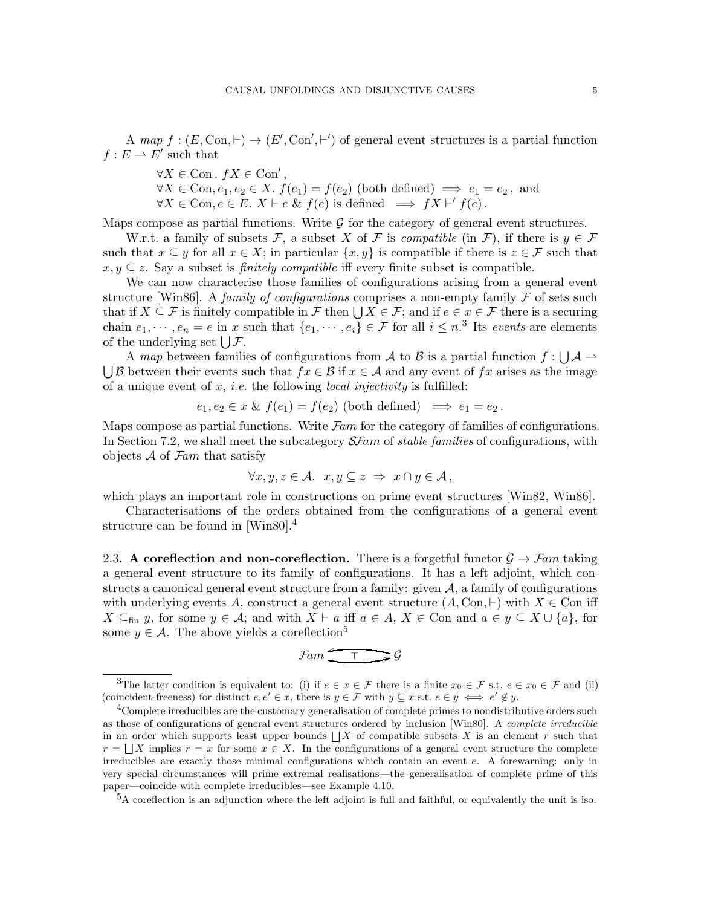A map  $f : (E, \text{Con}, \vdash) \to (E', \text{Con}', \vdash')$  of general event structures is a partial function  $f: E \rightharpoonup \overline{E'}$  such that

- $\forall X \in \text{Con. } fX \in \text{Con}^{\prime}$ ,
- $\forall X \in \text{Con}, e_1, e_2 \in X$ .  $f(e_1) = f(e_2)$  (both defined)  $\implies e_1 = e_2$ , and  $\forall X \in \text{Con}, e \in E$ .  $X \vdash e \& f(e)$  is defined  $\implies fX \vdash' f(e)$ .

Maps compose as partial functions. Write  $\mathcal G$  for the category of general event structures.

W.r.t. a family of subsets F, a subset X of F is *compatible* (in F), if there is  $y \in \mathcal{F}$ such that  $x \subseteq y$  for all  $x \in X$ ; in particular  $\{x, y\}$  is compatible if there is  $z \in \mathcal{F}$  such that  $x, y \subseteq z$ . Say a subset is *finitely compatible* iff every finite subset is compatible.

We can now characterise those families of configurations arising from a general event structure [\[Win86\]](#page-24-8). A family of configurations comprises a non-empty family  $\mathcal F$  of sets such that if  $X \subseteq \mathcal{F}$  is finitely compatible in  $\mathcal{F}$  then  $\bigcup X \in \mathcal{F}$ ; and if  $e \in x \in \mathcal{F}$  there is a securing chain  $e_1, \dots, e_n = e$  in x such that  $\{e_1, \dots, e_i\} \in \mathcal{F}$  for all  $i \leq n$ .<sup>[3](#page-4-0)</sup> Its events are elements of the underlying set  $\bigcup \mathcal{F}$ .

A map between families of configurations from A to B is a partial function  $f: \bigcup \mathcal{A} \to$  $\bigcup \mathcal{B}$  between their events such that  $fx \in \mathcal{B}$  if  $x \in \mathcal{A}$  and any event of  $fx$  arises as the image of a unique event of x, *i.e.* the following *local injectivity* is fulfilled:

$$
e_1, e_2 \in x \& f(e_1) = f(e_2)
$$
 (both defined)  $\implies e_1 = e_2$ .

Maps compose as partial functions. Write  $\mathcal{F}$ am for the category of families of configurations. In Section [7.2,](#page-19-0) we shall meet the subcategory  $S\mathcal{F}am$  of stable families of configurations, with objects  $A$  of  $\mathcal{F}$ am that satisfy

$$
\forall x, y, z \in \mathcal{A}. \ \ x, y \subseteq z \ \Rightarrow \ x \cap y \in \mathcal{A},
$$

which plays an important role in constructions on prime event structures [\[Win82,](#page-24-10) [Win86\]](#page-24-8).

Characterisations of the orders obtained from the configurations of a general event structure can be found in [\[Win80\]](#page-24-7).<sup>[4](#page-4-1)</sup>

2.3. A coreflection and non-coreflection. There is a forgetful functor  $\mathcal{G} \to \mathcal{F}$ am taking a general event structure to its family of configurations. It has a left adjoint, which constructs a canonical general event structure from a family: given  $A$ , a family of configurations with underlying events A, construct a general event structure  $(A, \text{Con}, \vdash)$  with  $X \in \text{Con}$  iff  $X \subseteq_{\text{fin}} y$ , for some  $y \in \mathcal{A}$ ; and with  $X \vdash a$  iff  $a \in A$ ,  $X \in \text{Con and } a \in y \subseteq X \cup \{a\}$ , for some  $y \in \mathcal{A}$ . The above yields a coreflection<sup>[5](#page-4-2)</sup>

$$
\mathcal{F}am \xrightarrow{\tau} \mathcal{G}
$$

<span id="page-4-0"></span><sup>&</sup>lt;sup>3</sup>The latter condition is equivalent to: (i) if  $e \in x \in \mathcal{F}$  there is a finite  $x_0 \in \mathcal{F}$  s.t.  $e \in x_0 \in \mathcal{F}$  and (ii) (coincident-freeness) for distinct  $e, e' \in x$ , there is  $y \in \mathcal{F}$  with  $y \subseteq x$  s.t.  $e \in y \iff e' \notin y$ .

<span id="page-4-1"></span> $4$ Complete irreducibles are the customary generalisation of complete primes to nondistributive orders such as those of configurations of general event structures ordered by inclusion [\[Win80\]](#page-24-7). A *complete irreducible* in an order which supports least upper bounds  $\lfloor$  X of compatible subsets X is an element r such that  $r = \bigsqcup X$  implies  $r = x$  for some  $x \in X$ . In the configurations of a general event structure the complete irreducibles are exactly those minimal configurations which contain an event e. A forewarning: only in very special circumstances will prime extremal realisations—the generalisation of complete prime of this paper—coincide with complete irreducibles—see Example [4.10.](#page-12-1)

<span id="page-4-2"></span><sup>&</sup>lt;sup>5</sup>A coreflection is an adjunction where the left adjoint is full and faithful, or equivalently the unit is iso.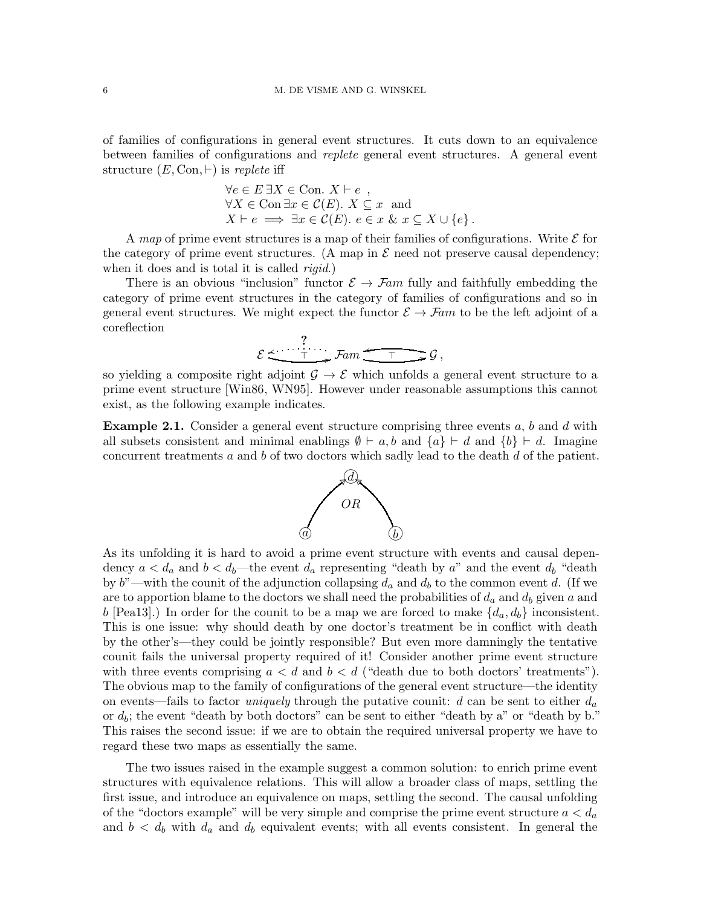of families of configurations in general event structures. It cuts down to an equivalence between families of configurations and replete general event structures. A general event structure  $(E, \text{Con}, \vdash)$  is replete iff

$$
\forall e \in E \exists X \in \text{Con. } X \vdash e ,
$$
  
\n
$$
\forall X \in \text{Con} \exists x \in \mathcal{C}(E). \ X \subseteq x \text{ and}
$$
  
\n
$$
X \vdash e \implies \exists x \in \mathcal{C}(E). \ e \in x \& x \subseteq X \cup \{e\}.
$$

A map of prime event structures is a map of their families of configurations. Write  $\mathcal E$  for the category of prime event structures. (A map in  $\mathcal E$  need not preserve causal dependency; when it does and is total it is called *rigid*.)

There is an obvious "inclusion" functor  $\mathcal{E} \to \mathcal{F}$ am fully and faithfully embedding the category of prime event structures in the category of families of configurations and so in general event structures. We might expect the functor  $\mathcal{E} \to \mathcal{F}am$  to be the left adjoint of a coreflection

$$
\mathcal{E} \xrightarrow{\tau} \mathcal{F}am \xrightarrow{\tau} \mathcal{G},
$$

so yielding a composite right adjoint  $\mathcal{G} \to \mathcal{E}$  which unfolds a general event structure to a prime event structure [\[Win86,](#page-24-8) [WN95\]](#page-24-3). However under reasonable assumptions this cannot exist, as the following example indicates.

<span id="page-5-0"></span>**Example 2.1.** Consider a general event structure comprising three events  $a, b$  and  $d$  with all subsets consistent and minimal enablings  $\emptyset \vdash a, b$  and  $\{a\} \vdash d$  and  $\{b\} \vdash d$ . Imagine concurrent treatments  $a$  and  $b$  of two doctors which sadly lead to the death  $d$  of the patient.



As its unfolding it is hard to avoid a prime event structure with events and causal dependency  $a < d_a$  and  $b < d_b$ —the event  $d_a$  representing "death by a" and the event  $d_b$  "death by b"—with the counit of the adjunction collapsing  $d_a$  and  $d_b$  to the common event d. (If we are to apportion blame to the doctors we shall need the probabilities of  $d_a$  and  $d_b$  given a and b [\[Pea13\]](#page-24-11).) In order for the counit to be a map we are forced to make  $\{d_a, d_b\}$  inconsistent. This is one issue: why should death by one doctor's treatment be in conflict with death by the other's—they could be jointly responsible? But even more damningly the tentative counit fails the universal property required of it! Consider another prime event structure with three events comprising  $a < d$  and  $b < d$  ("death due to both doctors' treatments"). The obvious map to the family of configurations of the general event structure—the identity on events—fails to factor *uniquely* through the putative counit:  $d$  can be sent to either  $d_a$ or  $d_b$ ; the event "death by both doctors" can be sent to either "death by a" or "death by b." This raises the second issue: if we are to obtain the required universal property we have to regard these two maps as essentially the same.

The two issues raised in the example suggest a common solution: to enrich prime event structures with equivalence relations. This will allow a broader class of maps, settling the first issue, and introduce an equivalence on maps, settling the second. The causal unfolding of the "doctors example" will be very simple and comprise the prime event structure  $a < d_a$ and  $b < d_b$  with  $d_a$  and  $d_b$  equivalent events; with all events consistent. In general the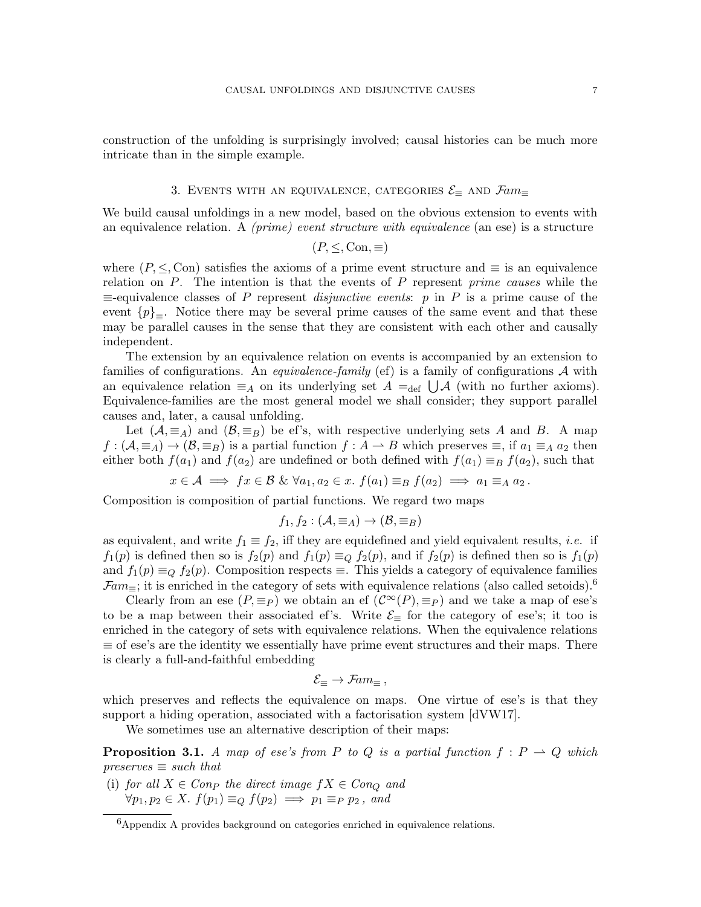<span id="page-6-0"></span>construction of the unfolding is surprisingly involved; causal histories can be much more intricate than in the simple example.

# 3. EVENTS WITH AN EQUIVALENCE, CATEGORIES  $\mathcal{E}_{\equiv}$  AND  $\mathcal{F}am_{\equiv}$

We build causal unfoldings in a new model, based on the obvious extension to events with an equivalence relation. A *(prime) event structure with equivalence* (an ese) is a structure

$$
(P, \leq, \text{Con}, \equiv)
$$

where  $(P, \leq, \text{Con})$  satisfies the axioms of a prime event structure and  $\equiv$  is an equivalence relation on  $P$ . The intention is that the events of  $P$  represent *prime causes* while the  $\equiv$ -equivalence classes of P represent *disjunctive events*: p in P is a prime cause of the event  ${p}_{\equiv}$ . Notice there may be several prime causes of the same event and that these may be parallel causes in the sense that they are consistent with each other and causally independent.

The extension by an equivalence relation on events is accompanied by an extension to families of configurations. An *equivalence-family* (ef) is a family of configurations  $A$  with an equivalence relation  $\equiv_A$  on its underlying set  $A =_{def} \bigcup \mathcal{A}$  (with no further axioms). Equivalence-families are the most general model we shall consider; they support parallel causes and, later, a causal unfolding.

Let  $(A, \equiv_A)$  and  $(B, \equiv_B)$  be ef's, with respective underlying sets A and B. A map  $f:(\mathcal{A},\equiv_A)\to(\mathcal{B},\equiv_B)$  is a partial function  $f:A\to B$  which preserves  $\equiv$ , if  $a_1\equiv_A a_2$  then either both  $f(a_1)$  and  $f(a_2)$  are undefined or both defined with  $f(a_1) \equiv_B f(a_2)$ , such that

$$
x \in \mathcal{A} \implies fx \in \mathcal{B} \& \forall a_1, a_2 \in x. \ f(a_1) \equiv_B f(a_2) \implies a_1 \equiv_A a_2.
$$

Composition is composition of partial functions. We regard two maps

$$
f_1, f_2: (\mathcal{A}, \equiv_A) \to (\mathcal{B}, \equiv_B)
$$

as equivalent, and write  $f_1 \equiv f_2$ , iff they are equidefined and yield equivalent results, *i.e.* if  $f_1(p)$  is defined then so is  $f_2(p)$  and  $f_1(p) \equiv_Q f_2(p)$ , and if  $f_2(p)$  is defined then so is  $f_1(p)$ and  $f_1(p) \equiv_Q f_2(p)$ . Composition respects  $\equiv$ . This yields a category of equivalence families  $\mathcal{F}am_{\equiv}$ ; it is enriched in the category of sets with equivalence relations (also called setoids).<sup>[6](#page-6-1)</sup>

Clearly from an ese  $(P, \equiv_P)$  we obtain an ef  $(\mathcal{C}^{\infty}(P), \equiv_P)$  and we take a map of ese's to be a map between their associated ef's. Write  $\mathcal{E}_{\equiv}$  for the category of ese's; it too is enriched in the category of sets with equivalence relations. When the equivalence relations  $\equiv$  of ese's are the identity we essentially have prime event structures and their maps. There is clearly a full-and-faithful embedding

$$
\mathcal{E}_{\equiv}\rightarrow \mathcal{F}\!\mathit{am}_{\equiv}\,,
$$

which preserves and reflects the equivalence on maps. One virtue of ese's is that they support a hiding operation, associated with a factorisation system [\[dVW17\]](#page-24-0).

We sometimes use an alternative description of their maps:

<span id="page-6-2"></span>**Proposition 3.1.** A map of ese's from P to Q is a partial function  $f : P \to Q$  which  $preserves \equiv such that$ 

(i) for all  $X \in Comp$  the direct image  $fX \in Con_Q$  and  $\forall p_1, p_2 \in X$ .  $f(p_1) \equiv_Q f(p_2) \implies p_1 \equiv_P p_2$ , and

<span id="page-6-1"></span> ${}^{6}$ Appendix [A](#page-24-12) provides background on categories enriched in equivalence relations.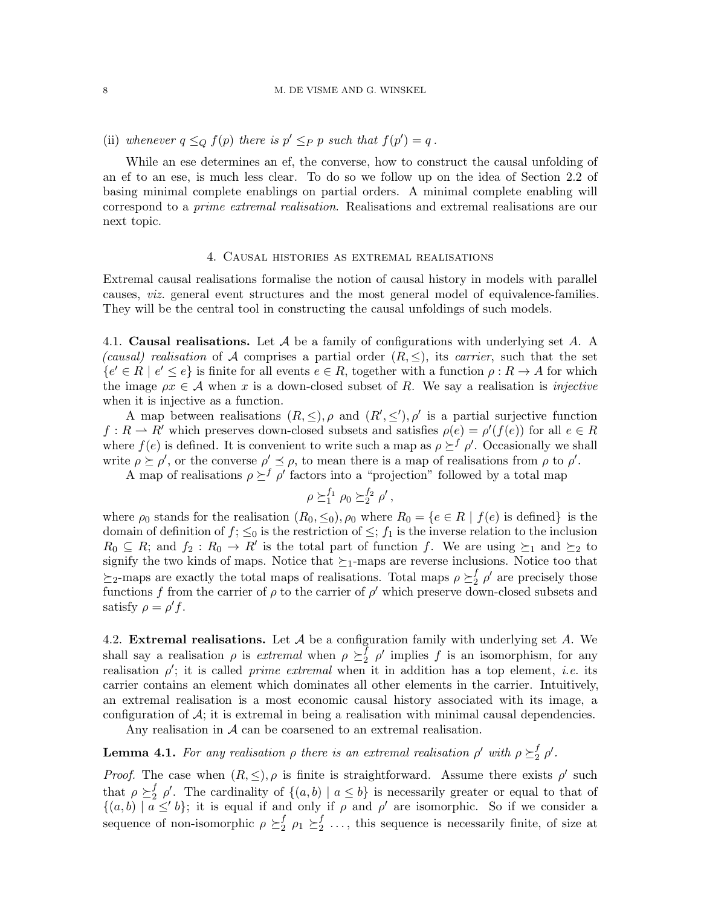(ii) whenever  $q \leq_Q f(p)$  there is  $p' \leq_P p$  such that  $f(p') = q$ .

While an ese determines an ef, the converse, how to construct the causal unfolding of an ef to an ese, is much less clear. To do so we follow up on the idea of Section [2.2](#page-3-0) of basing minimal complete enablings on partial orders. A minimal complete enabling will correspond to a prime extremal realisation. Realisations and extremal realisations are our next topic.

### 4. Causal histories as extremal realisations

Extremal causal realisations formalise the notion of causal history in models with parallel causes, viz. general event structures and the most general model of equivalence-families. They will be the central tool in constructing the causal unfoldings of such models.

4.1. Causal realisations. Let A be a family of configurations with underlying set A. A (causal) realisation of A comprises a partial order  $(R, \leq)$ , its carrier, such that the set  ${e' \in R \mid e' \le e}$  is finite for all events  $e \in R$ , together with a function  $\rho: R \to A$  for which the image  $\rho x \in A$  when x is a down-closed subset of R. We say a realisation is *injective* when it is injective as a function.

A map between realisations  $(R, \leq), \rho$  and  $(R', \leq'), \rho'$  is a partial surjective function  $f: R \to R'$  which preserves down-closed subsets and satisfies  $\rho(e) = \rho'(f(e))$  for all  $e \in R$ where  $f(e)$  is defined. It is convenient to write such a map as  $\rho \succeq^f \rho'$ . Occasionally we shall write  $\rho \succeq \rho'$ , or the converse  $\rho' \preceq \rho$ , to mean there is a map of realisations from  $\rho$  to  $\rho'$ .

A map of realisations  $\rho \succeq^f \rho'$  factors into a "projection" followed by a total map

$$
\rho \succeq_1^{f_1} \rho_0 \succeq_2^{f_2} \rho',
$$

where  $\rho_0$  stands for the realisation  $(R_0, \leq_0), \rho_0$  where  $R_0 = \{e \in R \mid f(e)$  is defined is the domain of definition of  $f$ ;  $\leq_0$  is the restriction of  $\leq$ ;  $f_1$  is the inverse relation to the inclusion  $R_0 \subseteq R$ ; and  $f_2 : R_0 \to R'$  is the total part of function f. We are using  $\succeq_1$  and  $\succeq_2$  to signify the two kinds of maps. Notice that  $\succeq_1$ -maps are reverse inclusions. Notice too that  $\succeq_2$ -maps are exactly the total maps of realisations. Total maps  $\rho \succeq_2^f$  $_2^f$   $\rho'$  are precisely those functions f from the carrier of  $\rho$  to the carrier of  $\rho'$  which preserve down-closed subsets and satisfy  $\rho = \rho' f$ .

4.2. Extremal realisations. Let  $A$  be a configuration family with underlying set  $A$ . We shall say a realisation  $\rho$  is *extremal* when  $\rho \geq_2$  $\int_{2}^{f} \rho'$  implies f is an isomorphism, for any realisation  $\rho'$ ; it is called *prime extremal* when it in addition has a top element, *i.e.* its carrier contains an element which dominates all other elements in the carrier. Intuitively, an extremal realisation is a most economic causal history associated with its image, a configuration of  $\mathcal{A}$ ; it is extremal in being a realisation with minimal causal dependencies.

Any realisation in  $A$  can be coarsened to an extremal realisation.

#### <span id="page-7-0"></span>**Lemma 4.1.** For any realisation  $\rho$  there is an extremal realisation  $\rho'$  with  $\rho \geq_2$  $\frac{f}{2}$   $\rho'$ .

*Proof.* The case when  $(R, \leq), \rho$  is finite is straightforward. Assume there exists  $\rho'$  such that  $\rho \succeq_2^f$  $\frac{f}{2}$   $\rho'$ . The cardinality of  $\{(a, b) | a \leq b\}$  is necessarily greater or equal to that of  $\{(a, b) | a \leq' b\}$ ; it is equal if and only if  $\rho$  and  $\rho'$  are isomorphic. So if we consider a sequence of non-isomorphic  $\rho \geq_2^f$  $_2^f$   $\rho_1 \succeq_2^f$  $_2^J$  ..., this sequence is necessarily finite, of size at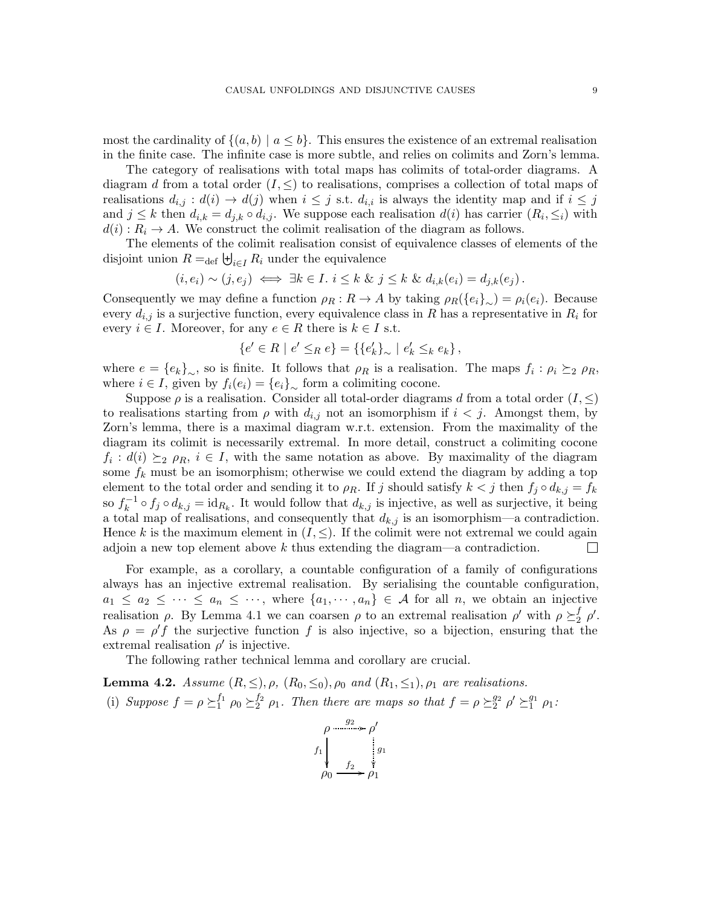most the cardinality of  $\{(a, b) | a \leq b\}$ . This ensures the existence of an extremal realisation in the finite case. The infinite case is more subtle, and relies on colimits and Zorn's lemma.

The category of realisations with total maps has colimits of total-order diagrams. A diagram d from a total order  $(I, \leq)$  to realisations, comprises a collection of total maps of realisations  $d_{i,j} : d(i) \to d(j)$  when  $i \leq j$  s.t.  $d_{i,i}$  is always the identity map and if  $i \leq j$ and  $j \leq k$  then  $d_{i,k} = d_{j,k} \circ d_{i,j}$ . We suppose each realisation  $d(i)$  has carrier  $(R_i, \leq_i)$  with  $d(i): R_i \to A$ . We construct the colimit realisation of the diagram as follows.

The elements of the colimit realisation consist of equivalence classes of elements of the disjoint union  $R =_{\text{def}} \biguplus_{i \in I} R_i$  under the equivalence

$$
(i, e_i) \sim (j, e_j) \iff \exists k \in I. \ i \leq k \ \& \ j \leq k \ \& \ d_{i,k}(e_i) = d_{j,k}(e_j).
$$

Consequently we may define a function  $\rho_R : R \to A$  by taking  $\rho_R(\{e_i\}_{\sim}) = \rho_i(e_i)$ . Because every  $d_{i,j}$  is a surjective function, every equivalence class in R has a representative in  $R_i$  for every  $i \in I$ . Moreover, for any  $e \in R$  there is  $k \in I$  s.t.

$$
\{e' \in R \mid e' \leq_R e\} = \{\{e'_k\}_\sim \mid e'_k \leq_k e_k\},\
$$

where  $e = \{e_k\}_{\sim}$ , so is finite. It follows that  $\rho_R$  is a realisation. The maps  $f_i : \rho_i \succeq_2 \rho_R$ , where  $i \in I$ , given by  $f_i(e_i) = \{e_i\}_{\sim}$  form a colimiting cocone.

Suppose  $\rho$  is a realisation. Consider all total-order diagrams d from a total order  $(I, \leq)$ to realisations starting from  $\rho$  with  $d_{i,j}$  not an isomorphism if  $i < j$ . Amongst them, by Zorn's lemma, there is a maximal diagram w.r.t. extension. From the maximality of the diagram its colimit is necessarily extremal. In more detail, construct a colimiting cocone  $f_i: d(i) \geq_{2} \rho_R, i \in I$ , with the same notation as above. By maximality of the diagram some  $f_k$  must be an isomorphism; otherwise we could extend the diagram by adding a top element to the total order and sending it to  $\rho_R$ . If j should satisfy  $k < j$  then  $f_j \circ d_{k,j} = f_k$ so  $f_k^{-1} \circ f_j \circ d_{k,j} = \text{id}_{R_k}$ . It would follow that  $d_{k,j}$  is injective, as well as surjective, it being a total map of realisations, and consequently that  $d_{k,j}$  is an isomorphism—a contradiction. Hence k is the maximum element in  $(I, \leq)$ . If the colimit were not extremal we could again adjoin a new top element above  $k$  thus extending the diagram—a contradiction.  $\Box$ 

For example, as a corollary, a countable configuration of a family of configurations always has an injective extremal realisation. By serialising the countable configuration,  $a_1 \le a_2 \le \cdots \le a_n \le \cdots$ , where  $\{a_1, \cdots, a_n\} \in \mathcal{A}$  for all n, we obtain an injective realisation  $\rho$ . By Lemma [4.1](#page-7-0) we can coarsen  $\rho$  to an extremal realisation  $\rho'$  with  $\rho \succeq_2^f$  $\int_2^f$   $\rho'$ . As  $\rho = \rho' f$  the surjective function f is also injective, so a bijection, ensuring that the extremal realisation  $\rho'$  is injective.

The following rather technical lemma and corollary are crucial.

<span id="page-8-0"></span>**Lemma 4.2.** Assume  $(R, \leq), \rho, (R_0, \leq_0), \rho_0$  and  $(R_1, \leq_1), \rho_1$  are realisations. (i) Suppose  $f = \rho \succeq_1^{f_1}$  $_{1}^{f_{1}} \rho_0 \succeq_2^{f_{2}}$  $_2^{f_2}$   $\rho_1$ . Then there are maps so that  $f = \rho \succeq_2^{g_2}$  $_{2}^{g_{2}}\rho^{\prime}\succeq_{1}^{g_{1}}$  $_1^{g_1}$   $\rho_1$ :

$$
\rho \xrightarrow{\rho g_2} \rho'
$$
\n
$$
f_1 \downarrow \qquad \qquad g_1
$$
\n
$$
\rho_0 \xrightarrow{f_2} \rho_1
$$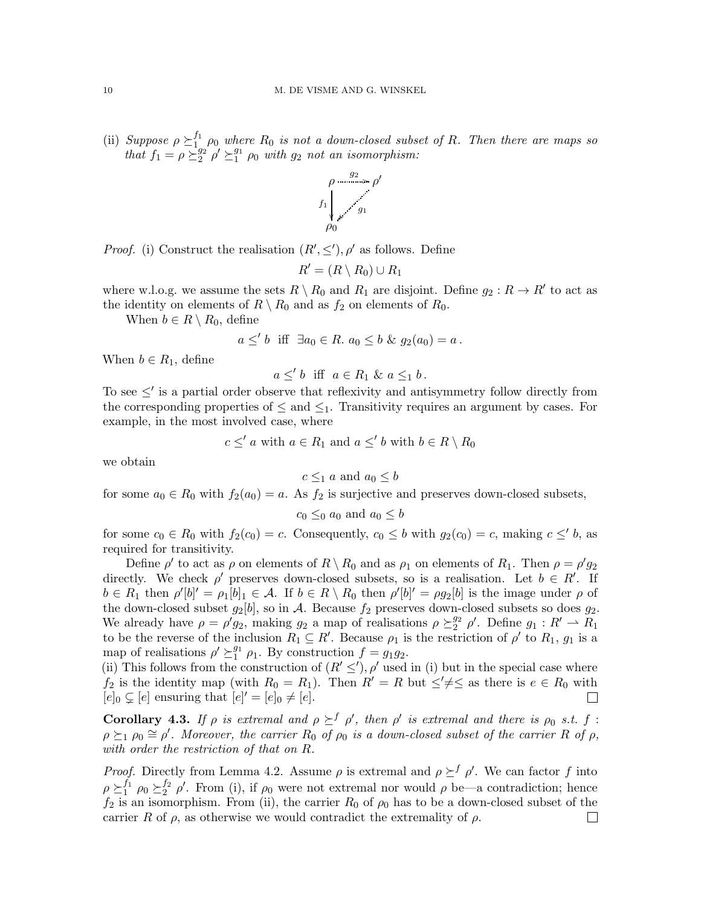(ii) Suppose  $\rho \succeq_1^{f_1}$  $\frac{J_1}{J_1}$   $\rho_0$  where  $R_0$  is not a down-closed subset of R. Then there are maps so that  $f_1 = \rho \succeq_2^{g_2}$  $\sum_{2}^{g_2} \rho' \succeq_1^{g_1}$  $_1^{g_1}$   $\rho_0$  with  $g_2$  not an isomorphism:



*Proof.* (i) Construct the realisation  $(R', \leq'), \rho'$  as follows. Define

$$
R' = (R \setminus R_0) \cup R_1
$$

where w.l.o.g. we assume the sets  $R \setminus R_0$  and  $R_1$  are disjoint. Define  $g_2: R \to R'$  to act as the identity on elements of  $R \setminus R_0$  and as  $f_2$  on elements of  $R_0$ .

When  $b \in R \setminus R_0$ , define

$$
a \leq' b \quad \text{iff} \quad \exists a_0 \in R. \ a_0 \leq b \ \& \ g_2(a_0) = a \, .
$$

When  $b \in R_1$ , define

$$
a \leq' b \quad \text{iff} \quad a \in R_1 \ \& \ a \leq_1 b \,.
$$

To see  $\leq'$  is a partial order observe that reflexivity and antisymmetry follow directly from the corresponding properties of  $\leq$  and  $\leq_1$ . Transitivity requires an argument by cases. For example, in the most involved case, where

$$
c \leq' a
$$
 with  $a \in R_1$  and  $a \leq' b$  with  $b \in R \setminus R_0$ 

we obtain

$$
c \leq_1 a
$$
 and  $a_0 \leq b$ 

for some  $a_0 \in R_0$  with  $f_2(a_0) = a$ . As  $f_2$  is surjective and preserves down-closed subsets,

$$
c_0 \leq_0 a_0
$$
 and  $a_0 \leq b$ 

for some  $c_0 \in R_0$  with  $f_2(c_0) = c$ . Consequently,  $c_0 \leq b$  with  $g_2(c_0) = c$ , making  $c \leq' b$ , as required for transitivity.

Define  $\rho'$  to act as  $\rho$  on elements of  $R \setminus R_0$  and as  $\rho_1$  on elements of  $R_1$ . Then  $\rho = \rho' g_2$ directly. We check  $\rho'$  preserves down-closed subsets, so is a realisation. Let  $b \in R'$ . If  $b \in R_1$  then  $\rho'[b]' = \rho_1[b]_1 \in \mathcal{A}$ . If  $b \in R \setminus R_0$  then  $\rho'[b]' = \rho_2[b]$  is the image under  $\rho$  of the down-closed subset  $g_2[b]$ , so in A. Because  $f_2$  preserves down-closed subsets so does  $g_2$ . We already have  $\rho = \rho' g_2$ , making  $g_2$  a map of realisations  $\rho \succeq_2^{g_2}$  $_{2}^{g_2}$   $\rho'$ . Define  $g_1: R' \rightharpoonup R_1$ to be the reverse of the inclusion  $R_1 \subseteq R'$ . Because  $\rho_1$  is the restriction of  $\rho'$  to  $R_1$ ,  $g_1$  is a map of realisations  $\rho' \succeq_1^{g_1}$  $_1^{g_1}$   $\rho_1$ . By construction  $f = g_1 g_2$ .

(ii) This follows from the construction of  $(R' \leq'), \rho'$  used in (i) but in the special case where  $f_2$  is the identity map (with  $R_0 = R_1$ ). Then  $R' = R$  but  $\leq \neq \leq$  as there is  $e \in R_0$  with  $[e]_0 \subsetneq [e]$  ensuring that  $[e]' = [e]_0 \neq [e]$ .  $\Box$ 

**Corollary 4.3.** If  $\rho$  is extremal and  $\rho \succeq^f \rho'$ , then  $\rho'$  is extremal and there is  $\rho_0$  s.t. f:  $\rho \succeq_1 \rho_0 \cong \rho'.$  Moreover, the carrier  $R_0$  of  $\rho_0$  is a down-closed subset of the carrier R of  $\rho$ , with order the restriction of that on R.

*Proof.* Directly from Lemma [4.2.](#page-8-0) Assume  $\rho$  is extremal and  $\rho \succeq^f \rho'$ . We can factor f into  $\rho \succeq_1^{f_1}$  $_{1}^{f_{1}} \rho_{0} \succeq_{2}^{f_{2}}$  $_2^{f_2}$  ρ'. From (i), if  $ρ_0$  were not extremal nor would  $ρ$  be—a contradiction; hence  $f_2$  is an isomorphism. From (ii), the carrier  $R_0$  of  $\rho_0$  has to be a down-closed subset of the carrier R of  $\rho$ , as otherwise we would contradict the extremality of  $\rho$ .  $\Box$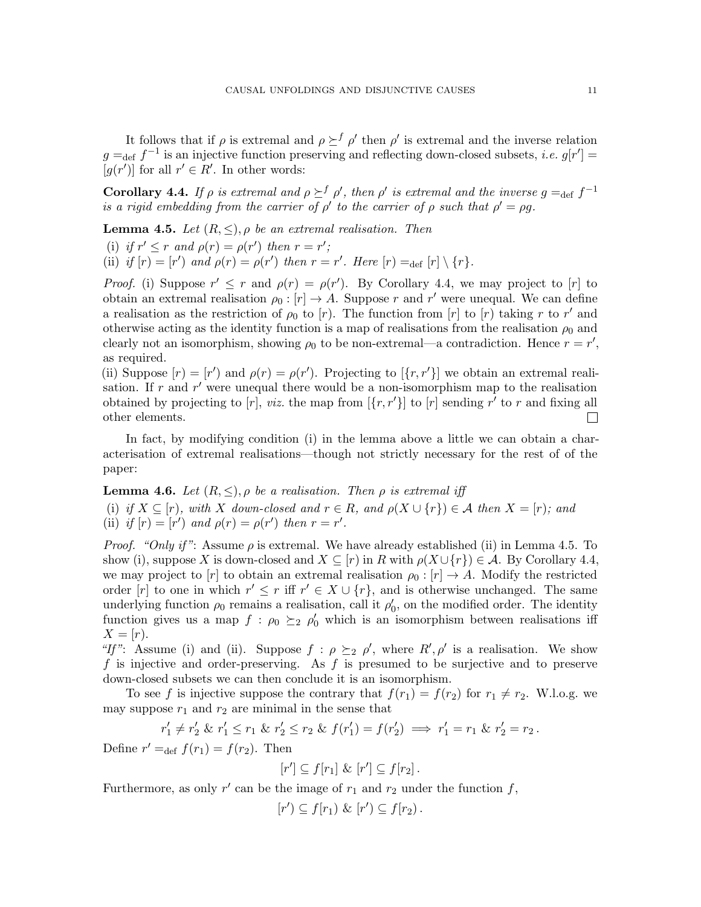It follows that if  $\rho$  is extremal and  $\rho \succeq^f \rho'$  then  $\rho'$  is extremal and the inverse relation  $g =_{def} f^{-1}$  is an injective function preserving and reflecting down-closed subsets, *i.e.*  $g[r'] =$  $[g(r')]$  for all  $r' \in R'$ . In other words:

<span id="page-10-0"></span>**Corollary 4.4.** If  $\rho$  is extremal and  $\rho \succeq^f \rho'$ , then  $\rho'$  is extremal and the inverse  $g =_{def} f^{-1}$ is a rigid embedding from the carrier of  $\rho'$  to the carrier of  $\rho$  such that  $\rho' = \rho g$ .

<span id="page-10-1"></span>**Lemma 4.5.** Let  $(R, \leq), \rho$  be an extremal realisation. Then

(i) if  $r' \leq r$  and  $\rho(r) = \rho(r')$  then  $r = r'$ ;

(ii) if  $[r] = [r']$  and  $\rho(r) = \rho(r')$  then  $r = r'$ . Here  $[r] =_{\text{def}} [r] \setminus \{r\}$ .

*Proof.* (i) Suppose  $r' \leq r$  and  $\rho(r) = \rho(r')$ . By Corollary [4.4,](#page-10-0) we may project to [r] to obtain an extremal realisation  $\rho_0: [r] \to A$ . Suppose r and r' were unequal. We can define a realisation as the restriction of  $\rho_0$  to [r]. The function from [r] to [r] taking r to r' and otherwise acting as the identity function is a map of realisations from the realisation  $\rho_0$  and clearly not an isomorphism, showing  $\rho_0$  to be non-extremal—a contradiction. Hence  $r = r'$ , as required.

(ii) Suppose  $[r] = [r']$  and  $\rho(r) = \rho(r')$ . Projecting to  $[\{r, r'\}]$  we obtain an extremal realisation. If r and r' were unequal there would be a non-isomorphism map to the realisation obtained by projecting to  $[r]$ , viz. the map from  $[\{r, r'\}]$  to  $[r]$  sending  $r^{\gamma}$  to r and fixing all other elements.  $\Box$ 

In fact, by modifying condition (i) in the lemma above a little we can obtain a characterisation of extremal realisations—though not strictly necessary for the rest of of the paper:

<span id="page-10-2"></span>**Lemma 4.6.** Let  $(R, \leq), \rho$  be a realisation. Then  $\rho$  is extremal iff (i) if  $X \subseteq [r]$ , with X down-closed and  $r \in R$ , and  $\rho(X \cup \{r\}) \in A$  then  $X = [r]$ ; and (ii) if  $[r] = [r']$  and  $\rho(r) = \rho(r')$  then  $r = r'$ .

*Proof.* "Only if": Assume  $\rho$  is extremal. We have already established (ii) in Lemma [4.5.](#page-10-1) To show (i), suppose X is down-closed and  $X \subseteq [r]$  in R with  $\rho(X \cup \{r\}) \in \mathcal{A}$ . By Corollary [4.4,](#page-10-0) we may project to [r] to obtain an extremal realisation  $\rho_0 : [r] \to A$ . Modify the restricted order  $[r]$  to one in which  $r' \leq r$  iff  $r' \in X \cup \{r\}$ , and is otherwise unchanged. The same underlying function  $\rho_0$  remains a realisation, call it  $\rho'_0$  $'_{0}$ , on the modified order. The identity function gives us a map  $f : \rho_0 \geq_2 \rho'_0$  which is an isomorphism between realisations iff  $X=[r].$ 

"If": Assume (i) and (ii). Suppose  $f : \rho \succeq_2 \rho'$ , where  $R', \rho'$  is a realisation. We show f is injective and order-preserving. As f is presumed to be surjective and to preserve down-closed subsets we can then conclude it is an isomorphism.

To see f is injective suppose the contrary that  $f(r_1) = f(r_2)$  for  $r_1 \neq r_2$ . W.l.o.g. we may suppose  $r_1$  and  $r_2$  are minimal in the sense that

$$
r'_1 \neq r'_2 \& r'_1 \leq r_1 \& r'_2 \leq r_2 \& f(r'_1) = f(r'_2) \implies r'_1 = r_1 \& r'_2 = r_2.
$$

Define  $r' =_{def} f(r_1) = f(r_2)$ . Then

$$
[r'] \subseteq f[r_1] \& [r'] \subseteq f[r_2].
$$

Furthermore, as only  $r'$  can be the image of  $r_1$  and  $r_2$  under the function  $f$ ,

$$
[r') \subseteq f[r_1) \& [r'] \subseteq f[r_2).
$$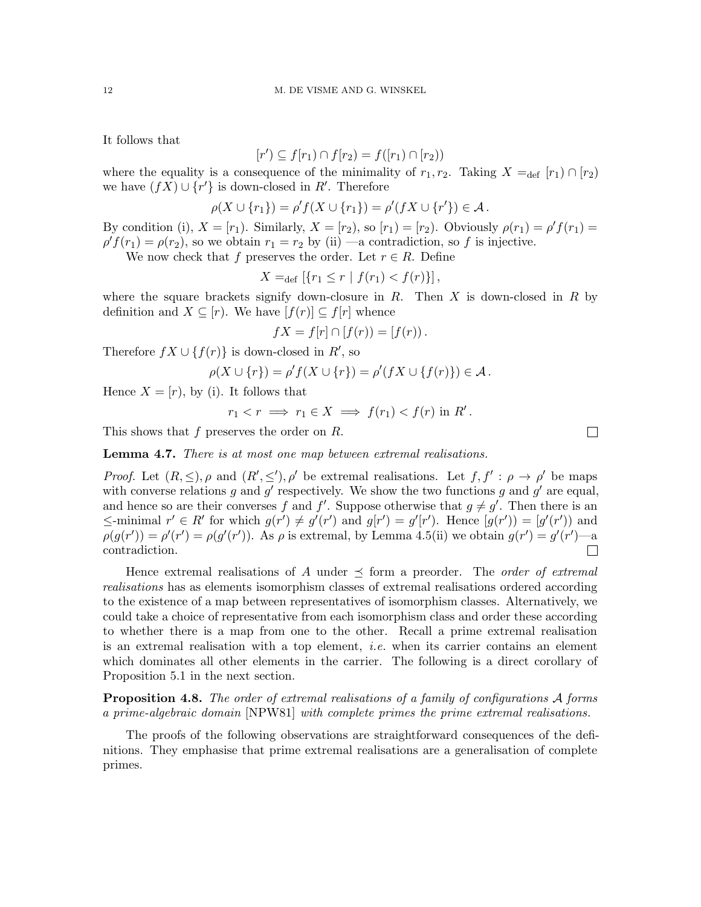It follows that

$$
[r') \subseteq f[r_1) \cap f[r_2) = f([r_1) \cap [r_2))
$$

where the equality is a consequence of the minimality of  $r_1, r_2$ . Taking  $X =_{\text{def}} [r_1] \cap [r_2]$ we have  $(f\overline{X}) \cup \{r'\}$  is down-closed in  $R'$ . Therefore

$$
\rho(X \cup \{r_1\}) = \rho'f(X \cup \{r_1\}) = \rho'(fX \cup \{r'\}) \in \mathcal{A}.
$$

By condition (i),  $X = [r_1]$ . Similarly,  $X = [r_2]$ , so  $[r_1] = [r_2]$ . Obviously  $\rho(r_1) = \rho' f(r_1) =$  $\rho' f(r_1) = \rho(r_2)$ , so we obtain  $r_1 = r_2$  by (ii) —a contradiction, so f is injective.

We now check that f preserves the order. Let  $r \in R$ . Define

$$
X =_{\text{def}} [\{r_1 \le r \mid f(r_1) < f(r)\}],
$$

where the square brackets signify down-closure in  $R$ . Then  $X$  is down-closed in  $R$  by definition and  $X \subseteq [r]$ . We have  $[f(r)] \subseteq f[r]$  whence

$$
fX = f[r] \cap [f(r)) = [f(r)).
$$

Therefore  $fX \cup \{f(r)\}\$ is down-closed in  $R'$ , so

$$
\rho(X \cup \{r\}) = \rho' f(X \cup \{r\}) = \rho'(fX \cup \{f(r)\}) \in \mathcal{A}.
$$

Hence  $X = [r]$ , by (i). It follows that

$$
r_1 < r \implies r_1 \in X \implies f(r_1) < f(r) \text{ in } R'.
$$

This shows that f preserves the order on R.

Lemma 4.7. There is at most one map between extremal realisations.

*Proof.* Let  $(R, \leq), \rho$  and  $(R', \leq'), \rho'$  be extremal realisations. Let  $f, f' : \rho \to \rho'$  be maps with converse relations g and g' respectively. We show the two functions g and g' are equal, and hence so are their converses f and f'. Suppose otherwise that  $g \neq g'$ . Then there is an  $\leq$ -minimal  $r' \in R'$  for which  $g(r') \neq g'(r')$  and  $g(r') = g'(r')$ . Hence  $[g(r')] = [g'(r'))$  and  $\rho(g(r')) = \rho'(r') = \rho(g'(r'))$ . As  $\rho$  is extremal, by Lemma [4.5\(](#page-10-1)ii) we obtain  $g(r') = g'(r')$ —a contradiction.  $\Box$ 

Hence extremal realisations of A under  $\preceq$  form a preorder. The *order of extremal* realisations has as elements isomorphism classes of extremal realisations ordered according to the existence of a map between representatives of isomorphism classes. Alternatively, we could take a choice of representative from each isomorphism class and order these according to whether there is a map from one to the other. Recall a prime extremal realisation is an extremal realisation with a top element, i.e. when its carrier contains an element which dominates all other elements in the carrier. The following is a direct corollary of Proposition [5.1](#page-13-0) in the next section.

**Proposition 4.8.** The order of extremal realisations of a family of configurations  $\mathcal{A}$  forms a prime-algebraic domain [\[NPW81\]](#page-24-9) with complete primes the prime extremal realisations.

The proofs of the following observations are straightforward consequences of the definitions. They emphasise that prime extremal realisations are a generalisation of complete primes.

 $\Box$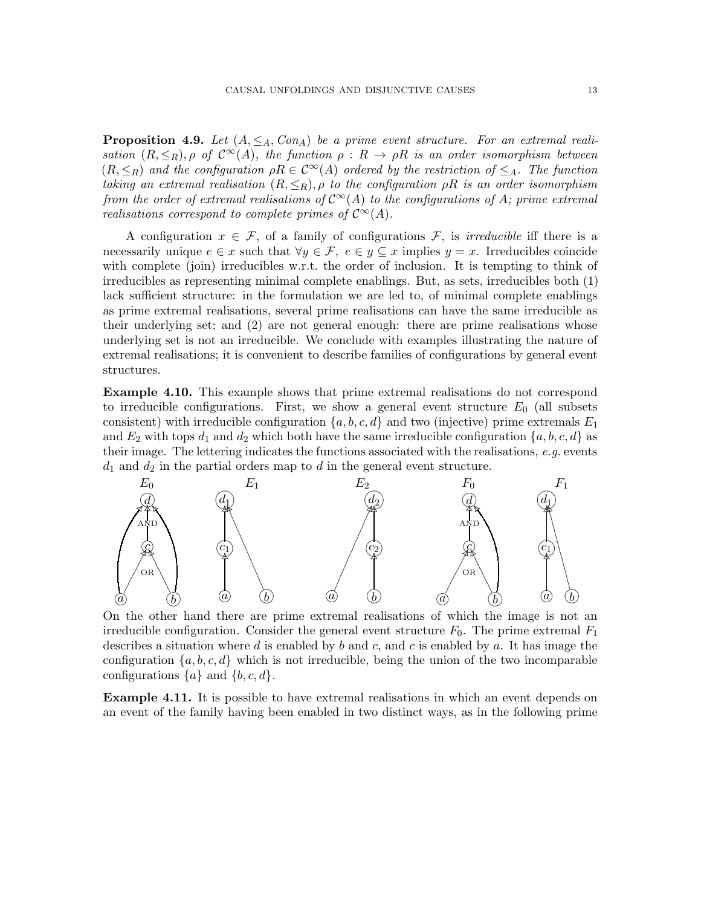<span id="page-12-2"></span>**Proposition 4.9.** Let  $(A, \leq_A, Con_A)$  be a prime event structure. For an extremal realisation  $(R, \leq_R), \rho$  of  $\mathcal{C}^{\infty}(A)$ , the function  $\rho : R \to \rho R$  is an order isomorphism between  $(R, \leq_R)$  and the configuration  $\rho R \in C^{\infty}(A)$  ordered by the restriction of  $\leq_A$ . The function taking an extremal realisation  $(R, \leq_R)$ ,  $\rho$  to the configuration  $\rho R$  is an order isomorphism from the order of extremal realisations of  $C^{\infty}(A)$  to the configurations of A; prime extremal realisations correspond to complete primes of  $\mathcal{C}^{\infty}(A)$ .

A configuration  $x \in \mathcal{F}$ , of a family of configurations  $\mathcal{F}$ , is *irreducible* iff there is a necessarily unique  $e \in x$  such that  $\forall y \in \mathcal{F}, e \in y \subseteq x$  implies  $y = x$ . Irreducibles coincide with complete (join) irreducibles w.r.t. the order of inclusion. It is tempting to think of irreducibles as representing minimal complete enablings. But, as sets, irreducibles both (1) lack sufficient structure: in the formulation we are led to, of minimal complete enablings as prime extremal realisations, several prime realisations can have the same irreducible as their underlying set; and (2) are not general enough: there are prime realisations whose underlying set is not an irreducible. We conclude with examples illustrating the nature of extremal realisations; it is convenient to describe families of configurations by general event structures.

<span id="page-12-1"></span>Example 4.10. This example shows that prime extremal realisations do not correspond to irreducible configurations. First, we show a general event structure  $E_0$  (all subsets consistent) with irreducible configuration  $\{a, b, c, d\}$  and two (injective) prime extremals  $E_1$ and  $E_2$  with tops  $d_1$  and  $d_2$  which both have the same irreducible configuration  $\{a, b, c, d\}$  as their image. The lettering indicates the functions associated with the realisations,  $e.g.$  events  $d_1$  and  $d_2$  in the partial orders map to d in the general event structure.



On the other hand there are prime extremal realisations of which the image is not an irreducible configuration. Consider the general event structure  $F_0$ . The prime extremal  $F_1$ describes a situation where d is enabled by b and c, and c is enabled by a. It has image the configuration  $\{a, b, c, d\}$  which is not irreducible, being the union of the two incomparable configurations  $\{a\}$  and  $\{b, c, d\}$ .

<span id="page-12-0"></span>**Example 4.11.** It is possible to have extremal realisations in which an event depends on an event of the family having been enabled in two distinct ways, as in the following prime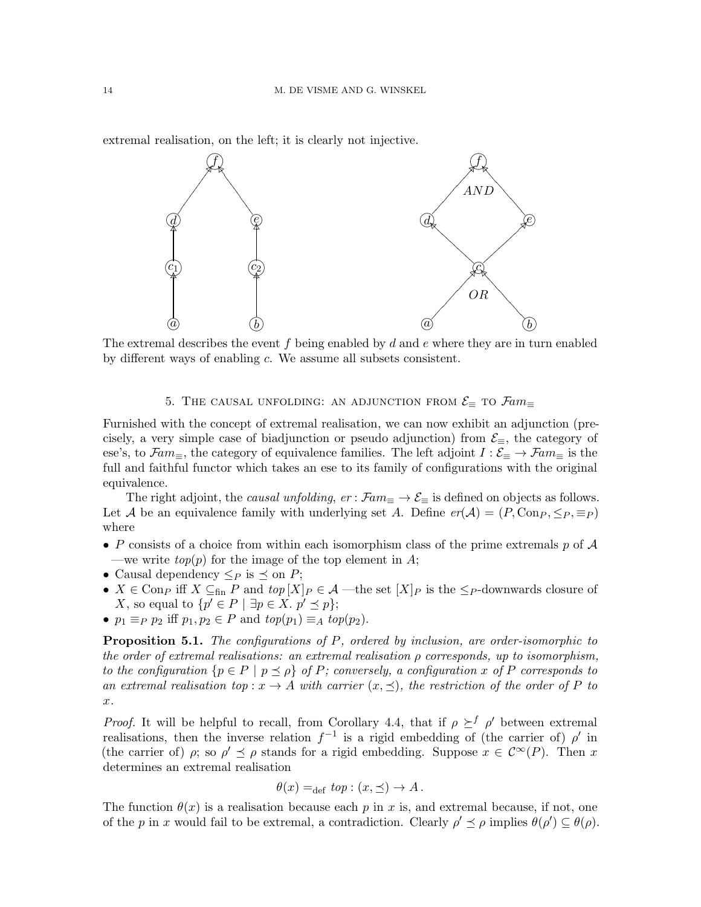extremal realisation, on the left; it is clearly not injective.



The extremal describes the event f being enabled by  $d$  and  $e$  where they are in turn enabled by different ways of enabling c. We assume all subsets consistent.

# 5. THE CAUSAL UNFOLDING: AN ADJUNCTION FROM  $\mathcal{E}_{\equiv}$  to  $\mathcal{F}\!\mathit{am}_\equiv$

Furnished with the concept of extremal realisation, we can now exhibit an adjunction (precisely, a very simple case of biadjunction or pseudo adjunction) from  $\mathcal{E}_{\equiv}$ , the category of ese's, to  $\mathcal{F}am_{\equiv}$ , the category of equivalence families. The left adjoint  $I : \mathcal{E}_{\equiv} \to \mathcal{F}am_{\equiv}$  is the full and faithful functor which takes an ese to its family of configurations with the original equivalence.

The right adjoint, the *causal unfolding*,  $er : \mathcal{F}am \equiv \rightarrow \mathcal{E}$  is defined on objects as follows. Let A be an equivalence family with underlying set A. Define  $er(\mathcal{A}) = (P, \text{Con}_P, \leq_P, \equiv_P)$ where

- P consists of a choice from within each isomorphism class of the prime extremals p of  $\mathcal A$ —we write  $top(p)$  for the image of the top element in A;
- Causal dependency  $\leq_P$  is  $\preceq$  on  $P$ ;
- $X \in \text{Con}_P$  iff  $X \subseteq_{\text{fin}} P$  and  $top[X]_P \in \mathcal{A}$  —the set  $[X]_P$  is the  $\leq_P$ -downwards closure of X, so equal to  $\{p' \in P \mid \exists p \in X \ldotp p' \preceq p\};$
- $p_1 \equiv_P p_2$  iff  $p_1, p_2 \in P$  and  $top(p_1) \equiv_A top(p_2)$ .

<span id="page-13-0"></span>**Proposition 5.1.** The configurations of  $P$ , ordered by inclusion, are order-isomorphic to the order of extremal realisations: an extremal realisation  $\rho$  corresponds, up to isomorphism, to the configuration  $\{p \in P \mid p \leq \rho\}$  of P; conversely, a configuration x of P corresponds to an extremal realisation top :  $x \to A$  with carrier  $(x, \preceq)$ , the restriction of the order of P to x.

*Proof.* It will be helpful to recall, from Corollary [4.4,](#page-10-0) that if  $\rho \geq^f \rho'$  between extremal realisations, then the inverse relation  $f^{-1}$  is a rigid embedding of (the carrier of)  $\rho'$  in (the carrier of)  $\rho$ ; so  $\rho' \preceq \rho$  stands for a rigid embedding. Suppose  $x \in C^{\infty}(P)$ . Then x determines an extremal realisation

$$
\theta(x) =_{\text{def}} top : (x, \preceq) \to A.
$$

The function  $\theta(x)$  is a realisation because each p in x is, and extremal because, if not, one of the p in x would fail to be extremal, a contradiction. Clearly  $\rho' \leq \rho$  implies  $\theta(\rho') \subseteq \theta(\rho)$ .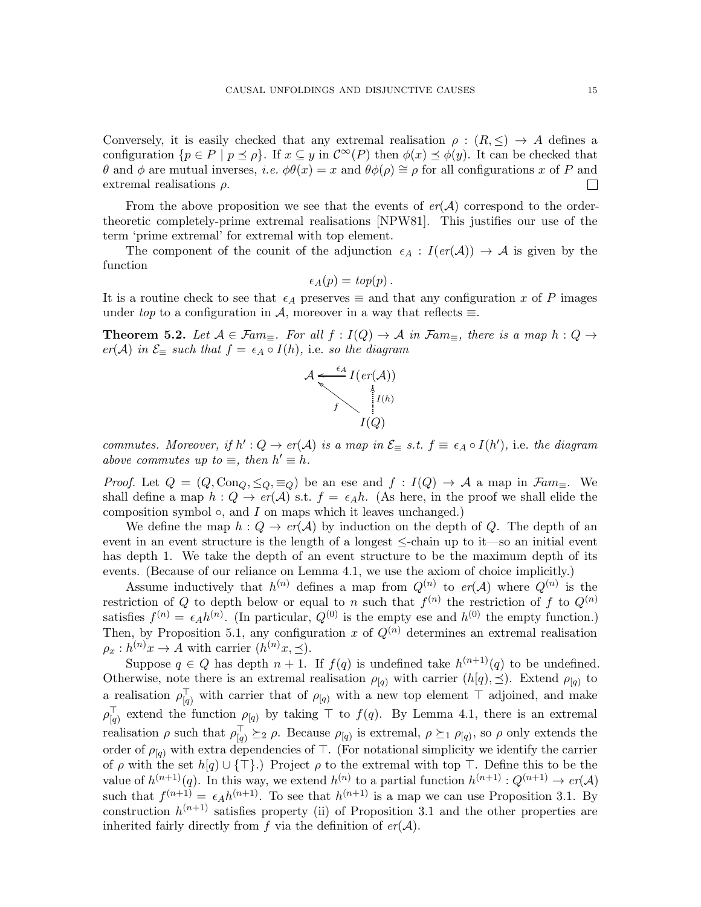Conversely, it is easily checked that any extremal realisation  $\rho : (R, \leq) \to A$  defines a configuration  $\{p \in P \mid p \leq \rho\}$ . If  $x \subseteq y$  in  $\mathcal{C}^{\infty}(P)$  then  $\phi(x) \preceq \phi(y)$ . It can be checked that θ and φ are mutual inverses, *i.e.*  $φθ(x) = x$  and  $θφ(ρ) ≅ ρ$  for all configurations x of P and extremal realisations  $\rho$ .  $\mathbf{L}$ 

From the above proposition we see that the events of  $er(\mathcal{A})$  correspond to the ordertheoretic completely-prime extremal realisations [\[NPW81\]](#page-24-9). This justifies our use of the term 'prime extremal' for extremal with top element.

The component of the counit of the adjunction  $\epsilon_A : I(er(\mathcal{A})) \to \mathcal{A}$  is given by the function

$$
\epsilon_A(p) = top(p).
$$

It is a routine check to see that  $\epsilon_A$  preserves  $\equiv$  and that any configuration x of P images under top to a configuration in A, moreover in a way that reflects  $\equiv$ .

**Theorem 5.2.** Let  $A \in \mathcal{F}am_{\equiv}$ . For all  $f : I(Q) \to A$  in  $\mathcal{F}am_{\equiv}$ , there is a map  $h : Q \to A$  $er(\mathcal{A})$  in  $\mathcal{E}_{\equiv}$  such that  $f = \epsilon_A \circ I(h)$ , i.e. so the diagram



commutes. Moreover, if  $h': Q \to er(A)$  is a map in  $\mathcal{E}_{\equiv} s.t.$   $f \equiv \epsilon_A \circ I(h')$ , i.e. the diagram above commutes up to  $\equiv$ , then  $h' \equiv h$ .

*Proof.* Let  $Q = (Q, \text{Con}_{Q}, \leq_{Q}, \equiv_{Q})$  be an ese and  $f : I(Q) \rightarrow A$  a map in  $\mathcal{F}am_{\equiv}$ . We shall define a map  $h: Q \to er(\mathcal{A})$  s.t.  $f = \epsilon_A h$ . (As here, in the proof we shall elide the composition symbol  $\circ$ , and I on maps which it leaves unchanged.)

We define the map  $h: Q \to er(\mathcal{A})$  by induction on the depth of Q. The depth of an event in an event structure is the length of a longest  $\le$ -chain up to it—so an initial event has depth 1. We take the depth of an event structure to be the maximum depth of its events. (Because of our reliance on Lemma [4.1,](#page-7-0) we use the axiom of choice implicitly.)

Assume inductively that  $h^{(n)}$  defines a map from  $Q^{(n)}$  to  $er(A)$  where  $Q^{(n)}$  is the restriction of Q to depth below or equal to n such that  $f^{(n)}$  the restriction of f to  $Q^{(n)}$ satisfies  $f^{(n)} = \epsilon_A h^{(n)}$ . (In particular,  $Q^{(0)}$  is the empty ese and  $h^{(0)}$  the empty function.) Then, by Proposition [5.1,](#page-13-0) any configuration x of  $Q^{(n)}$  determines an extremal realisation  $\rho_x: h^{(n)}x \to A$  with carrier  $(h^{(n)}x, \preceq)$ .

Suppose  $q \in Q$  has depth  $n+1$ . If  $f(q)$  is undefined take  $h^{(n+1)}(q)$  to be undefined. Otherwise, note there is an extremal realisation  $\rho_{[q]}$  with carrier  $(h[q], \preceq)$ . Extend  $\rho_{[q]}$  to a realisation  $\rho_{[q]}^{\top}$  with carrier that of  $\rho_{[q]}$  with a new top element  $\top$  adjoined, and make  $\rho_{\text{L}_a}^{\top}$  $\vert_q$  extend the function  $\rho_{\vert q}$  by taking  $\top$  to  $f(q)$ . By Lemma [4.1,](#page-7-0) there is an extremal realisation  $\rho$  such that  $\rho_{\overline{q}}^{\perp} \geq_{2} \rho$ . Because  $\rho_{\overline{q}}$  is extremal,  $\rho \succeq_{1} \rho_{\overline{q}}$ , so  $\rho$  only extends the order of  $\rho_{[q]}$  with extra dependencies of ⊤. (For notational simplicity we identify the carrier of  $\rho$  with the set  $h[q] \cup {\{\top\}}$ .) Project  $\rho$  to the extremal with top ⊤. Define this to be the value of  $h^{(n+1)}(q)$ . In this way, we extend  $h^{(n)}$  to a partial function  $h^{(n+1)}: Q^{(n+1)} \to er(\mathcal{A})$ such that  $f^{(n+1)} = \epsilon_A h^{(n+1)}$ . To see that  $h^{(n+1)}$  is a map we can use Proposition [3.1.](#page-6-2) By construction  $h^{(n+1)}$  satisfies property (ii) of Proposition [3.1](#page-6-2) and the other properties are inherited fairly directly from f via the definition of  $er(\mathcal{A})$ .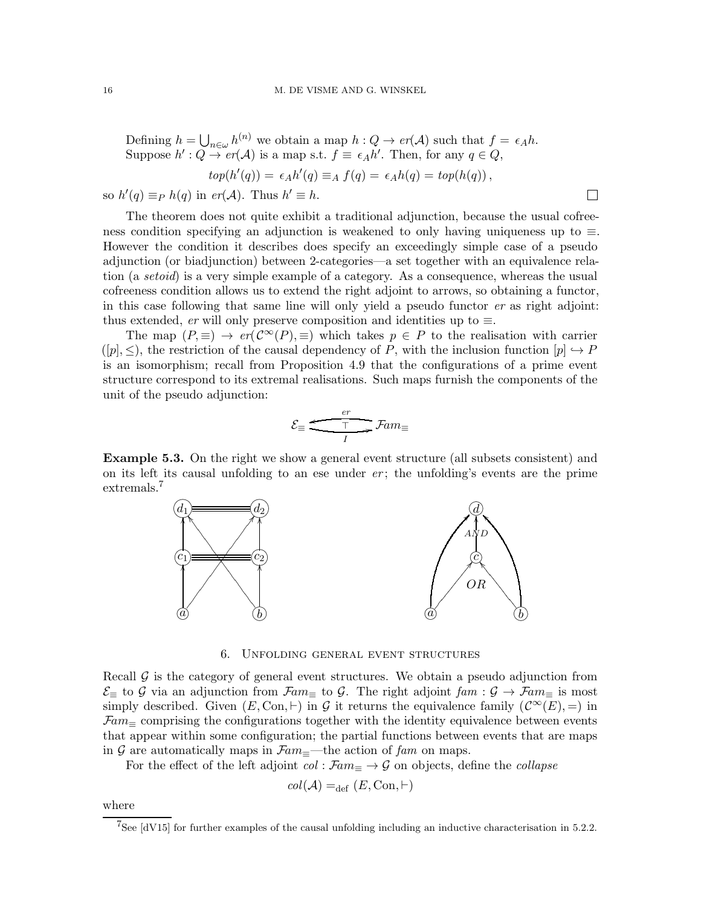Defining  $h = \bigcup_{n \in \omega} h^{(n)}$  we obtain a map  $h : Q \to er(\mathcal{A})$  such that  $f = \epsilon_A h$ . Suppose  $h': Q \to er(\mathcal{A})$  is a map s.t.  $f \equiv \epsilon_A h'.$  Then, for any  $q \in Q$ ,  $top(h'(q)) = \epsilon_A h'(q) \equiv_A f(q) = \epsilon_A h(q) = top(h(q)),$ 

so  $h'(q) \equiv_P h(q)$  in  $er(\mathcal{A})$ . Thus  $h' \equiv h$ .

The theorem does not quite exhibit a traditional adjunction, because the usual cofreeness condition specifying an adjunction is weakened to only having uniqueness up to ≡. However the condition it describes does specify an exceedingly simple case of a pseudo adjunction (or biadjunction) between 2-categories—a set together with an equivalence relation (a setoid) is a very simple example of a category. As a consequence, whereas the usual cofreeness condition allows us to extend the right adjoint to arrows, so obtaining a functor, in this case following that same line will only yield a pseudo functor  $er$  as right adjoint: thus extended, er will only preserve composition and identities up to  $\equiv$ .

 $\Box$ 

The map  $(P, \equiv) \rightarrow er(\mathcal{C}^{\infty}(P), \equiv)$  which takes  $p \in P$  to the realisation with carrier  $([p], \leq)$ , the restriction of the causal dependency of P, with the inclusion function  $[p] \hookrightarrow P$ is an isomorphism; recall from Proposition [4.9](#page-12-2) that the configurations of a prime event structure correspond to its extremal realisations. Such maps furnish the components of the unit of the pseudo adjunction:

$$
\mathcal{E}_{\equiv} \xrightarrow{\frac{er}{T}} \mathcal{F}am_{\equiv}
$$

Example 5.3. On the right we show a general event structure (all subsets consistent) and on its left its causal unfolding to an ese under  $er$ ; the unfolding's events are the prime extremals.<sup>[7](#page-15-0)</sup>



6. Unfolding general event structures

<span id="page-15-1"></span>Recall  $\mathcal G$  is the category of general event structures. We obtain a pseudo adjunction from  $\mathcal{E}_\equiv$  to G via an adjunction from  $\mathcal{F}\hspace{-1.5pt}a m_\equiv$  to G. The right adjoint  $\mathit{fam} : \mathcal{G} \to \mathcal{F}\hspace{-1.5pt}a m_\equiv$  is most simply described. Given  $(E, \text{Con}, \vdash)$  in G it returns the equivalence family  $(\mathcal{C}^{\infty}(E), =)$  in  $\mathcal{F}am_{\equiv}$  comprising the configurations together with the identity equivalence between events that appear within some configuration; the partial functions between events that are maps in G are automatically maps in  $\mathcal{F}am =$ -the action of fam on maps.

For the effect of the left adjoint  $col : \mathcal{F}am_{\equiv} \to \mathcal{G}$  on objects, define the *collapse* 

$$
col(\mathcal{A}) =_{def} (E, Con, \vdash)
$$

where

<span id="page-15-0"></span> $7$ See [\[dV15\]](#page-24-13) for further examples of the causal unfolding including an inductive characterisation in 5.2.2.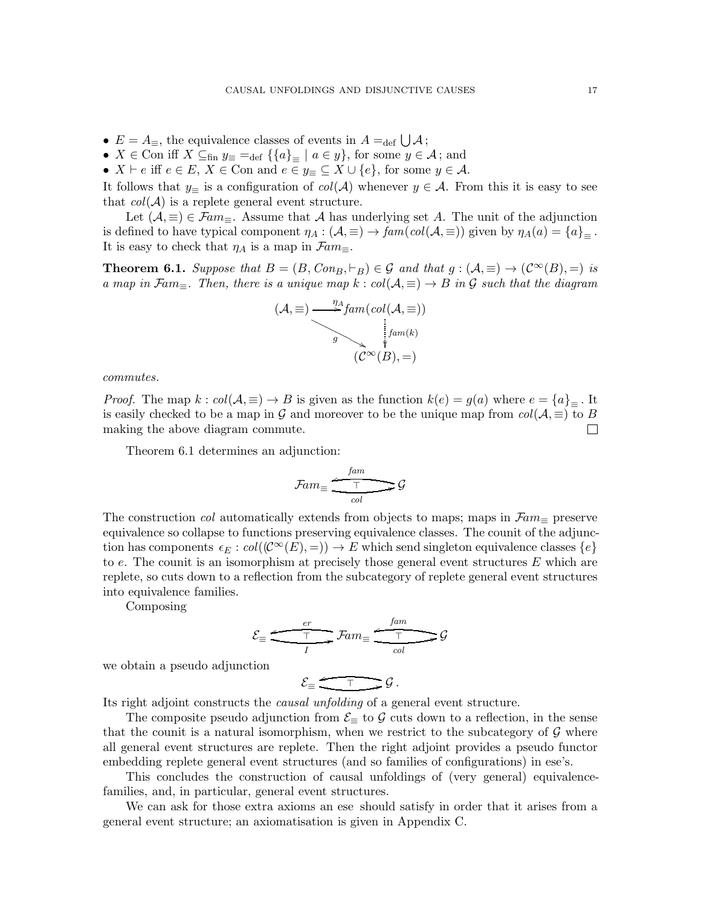- $E = A_{\equiv}$ , the equivalence classes of events in  $A =_{\text{def}} \bigcup A$ ;
- $X \in \text{Con iff } X \subseteq_{\text{fin}} y_{\equiv} =_{\text{def}} \{ \{a\}_{\equiv} \mid a \in y \}$ , for some  $y \in \mathcal{A}$ ; and
- $X \vdash e$  iff  $e \in E$ ,  $X \in \text{Con and } e \in y_{\equiv} \subseteq X \cup \{e\}$ , for some  $y \in A$ .

It follows that  $y_\equiv$  is a configuration of  $col(\mathcal{A})$  whenever  $y \in \mathcal{A}$ . From this it is easy to see that  $col(\mathcal{A})$  is a replete general event structure.

Let  $(A, \equiv) \in \mathcal{F}am_{\equiv}$ . Assume that A has underlying set A. The unit of the adjunction is defined to have typical component  $\eta_A : (\mathcal{A}, \equiv) \to \text{fam}(\text{col}(\mathcal{A}, \equiv))$  given by  $\eta_A(a) = \{a\}_{\equiv}$ . It is easy to check that  $\eta_A$  is a map in  $\mathcal{F}am_{\equiv}$ .

<span id="page-16-0"></span>**Theorem 6.1.** Suppose that  $B = (B, Con_B, \vdash_B) \in \mathcal{G}$  and that  $g : (\mathcal{A}, \equiv) \to (\mathcal{C}^{\infty}(B), =)$  is a map in Fam $\equiv$ . Then, there is a unique map  $k : col(\mathcal{A}, \equiv) \to B$  in G such that the diagram



commutes.

*Proof.* The map  $k : col(\mathcal{A}, \equiv) \to B$  is given as the function  $k(e) = g(a)$  where  $e = \{a\}_=$ . It is easily checked to be a map in G and moreover to be the unique map from  $col(A, \equiv)$  to B making the above diagram commute.  $\Box$ 

Theorem [6.1](#page-16-0) determines an adjunction:

$$
\mathcal{F}\!\mathit{am}_{\equiv} \xrightarrow[\mathit{col}]{\mathit{fam}} \mathcal{G}
$$

The construction *col* automatically extends from objects to maps; maps in  $\mathcal{F}am_{\equiv}$  preserve equivalence so collapse to functions preserving equivalence classes. The counit of the adjunction has components  $\epsilon_E : col((\mathcal{C}^{\infty}(E), =)) \to E$  which send singleton equivalence classes  $\{e\}$ to  $e$ . The counit is an isomorphism at precisely those general event structures  $E$  which are replete, so cuts down to a reflection from the subcategory of replete general event structures into equivalence families.

Composing

$$
\mathcal{E}_{\equiv} \xrightarrow{\frac{er}{T}} \mathcal{F}am_{\equiv} \xrightarrow{\frac{fam}{T}} \mathcal{G}
$$

we obtain a pseudo adjunction

$$
\mathcal{E}_{\equiv} \xrightarrow{\top} \mathcal{G}.
$$

Its right adjoint constructs the causal unfolding of a general event structure.

The composite pseudo adjunction from  $\mathcal{E}_{\equiv}$  to  $\mathcal G$  cuts down to a reflection, in the sense that the counit is a natural isomorphism, when we restrict to the subcategory of  $\mathcal G$  where all general event structures are replete. Then the right adjoint provides a pseudo functor embedding replete general event structures (and so families of configurations) in ese's.

This concludes the construction of causal unfoldings of (very general) equivalencefamilies, and, in particular, general event structures.

We can ask for those extra axioms an ese should satisfy in order that it arises from a general event structure; an axiomatisation is given in Appendix [C.](#page-27-0)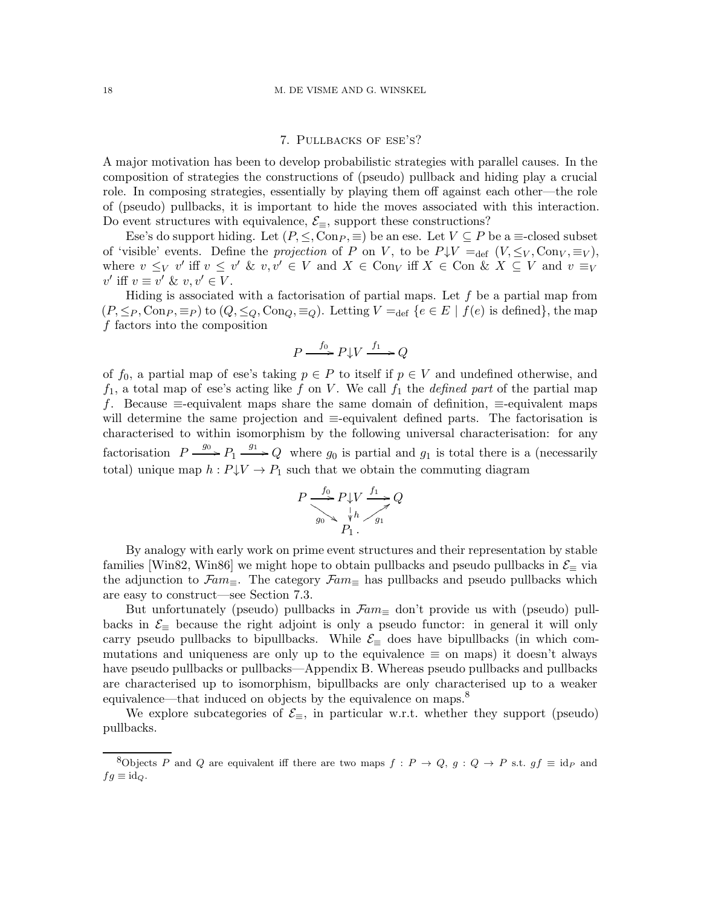### 7. Pullbacks of ese's?

A major motivation has been to develop probabilistic strategies with parallel causes. In the composition of strategies the constructions of (pseudo) pullback and hiding play a crucial role. In composing strategies, essentially by playing them off against each other—the role of (pseudo) pullbacks, it is important to hide the moves associated with this interaction. Do event structures with equivalence,  $\mathcal{E}_{\equiv}$ , support these constructions?

Ese's do support hiding. Let  $(P, \leq, \text{Con}_P, \equiv)$  be an ese. Let  $V \subseteq P$  be a  $\equiv$ -closed subset of 'visible' events. Define the projection of P on V, to be  $P\downarrow V =_{def} (V, \leq_V, \text{Con}_V, \equiv_V)$ , where  $v \leq_V v'$  iff  $v \leq v' \& v, v' \in V$  and  $X \in \text{Con}_V$  iff  $X \in \text{Con} \& X \subseteq V$  and  $v \equiv_V$  $v'$  iff  $v \equiv v' \& v, v' \in V$ .

Hiding is associated with a factorisation of partial maps. Let  $f$  be a partial map from  $(P, \leq_P, \text{Con}_P, \equiv_P)$  to  $(Q, \leq_Q, \text{Con}_Q, \equiv_Q)$ . Letting  $V =_{\text{def}} \{e \in E \mid f(e) \text{ is defined}\},\$ the map f factors into the composition

$$
P \xrightarrow{f_0} P \downarrow V \xrightarrow{f_1} Q
$$

of  $f_0$ , a partial map of ese's taking  $p \in P$  to itself if  $p \in V$  and undefined otherwise, and  $f_1$ , a total map of ese's acting like f on V. We call  $f_1$  the *defined part* of the partial map f. Because ≡-equivalent maps share the same domain of definition, ≡-equivalent maps will determine the same projection and ≡-equivalent defined parts. The factorisation is characterised to within isomorphism by the following universal characterisation: for any factorisation  $P \xrightarrow{g_0} P_1 \xrightarrow{g_1} Q$  where  $g_0$  is partial and  $g_1$  is total there is a (necessarily total) unique map  $h : P \downarrow V \rightarrow P_1$  such that we obtain the commuting diagram

$$
P \xrightarrow{f_0} P \downarrow V \xrightarrow{f_1} Q
$$
  
\n
$$
g_0 \searrow \searrow^{h} \searrow g_1
$$
  
\n
$$
P_1.
$$

By analogy with early work on prime event structures and their representation by stable families [\[Win82,](#page-24-10) [Win86\]](#page-24-8) we might hope to obtain pullbacks and pseudo pullbacks in  $\mathcal{E}_{\equiv}$  via the adjunction to  $\mathcal{F}am_{\equiv}$ . The category  $\mathcal{F}am_{\equiv}$  has pullbacks and pseudo pullbacks which are easy to construct—see Section [7.3.](#page-21-0)

But unfortunately (pseudo) pullbacks in  $\mathcal{F}am_\equiv$  don't provide us with (pseudo) pullbacks in  $\mathcal{E}_{\equiv}$  because the right adjoint is only a pseudo functor: in general it will only carry pseudo pullbacks to bipullbacks. While  $\mathcal{E}_{\equiv}$  does have bipullbacks (in which commutations and uniqueness are only up to the equivalence  $\equiv$  on maps) it doesn't always have pseudo pullbacks or pullbacks—Appendix [B.](#page-25-0) Whereas pseudo pullbacks and pullbacks are characterised up to isomorphism, bipullbacks are only characterised up to a weaker equivalence—that induced on objects by the equivalence on maps.<sup>[8](#page-17-0)</sup>

We explore subcategories of  $\mathcal{E}_{\equiv}$ , in particular w.r.t. whether they support (pseudo) pullbacks.

<span id="page-17-0"></span><sup>&</sup>lt;sup>8</sup>Objects P and Q are equivalent iff there are two maps  $f : P \to Q$ ,  $g : Q \to P$  s.t.  $gf \equiv id_P$  and  $fg \equiv \mathrm{id}_{Q}.$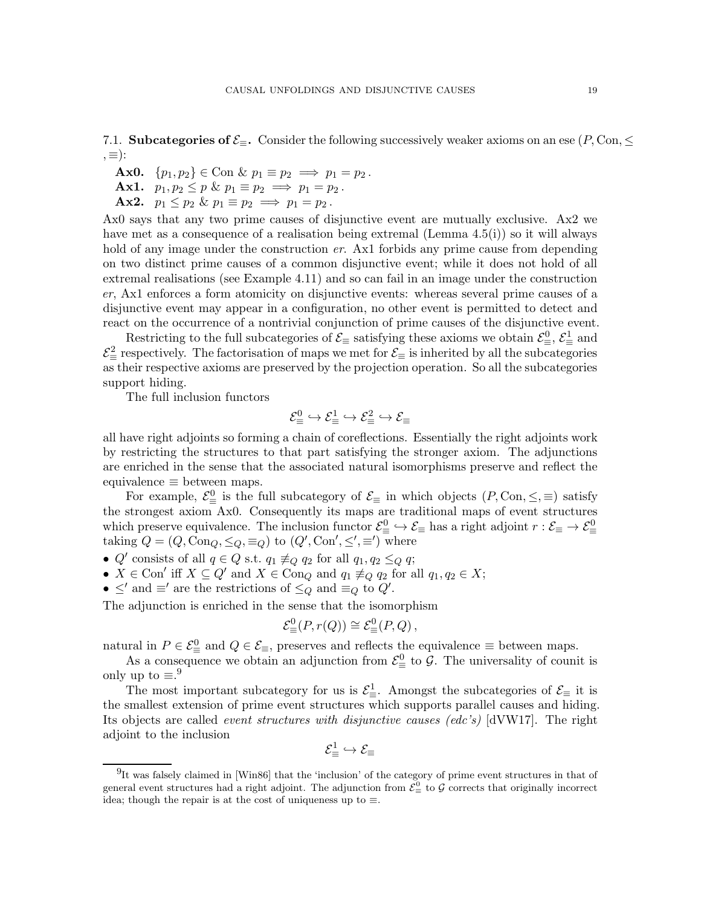7.1. Subcategories of  $\mathcal{E}_\equiv$ . Consider the following successively weaker axioms on an ese (P, Con,  $\leq$  $=$ ):

Ax0.  $\{p_1, p_2\} \in \text{Con } \& p_1 \equiv p_2 \implies p_1 = p_2$ . Ax1.  $p_1, p_2 \leq p \& p_1 \equiv p_2 \implies p_1 = p_2$ .

Ax2.  $p_1 \leq p_2 \& p_1 \equiv p_2 \implies p_1 = p_2$ .

Ax0 says that any two prime causes of disjunctive event are mutually exclusive. Ax2 we have met as a consequence of a realisation being extremal (Lemma [4.5\(](#page-10-1)i)) so it will always hold of any image under the construction  $er$ . Ax1 forbids any prime cause from depending on two distinct prime causes of a common disjunctive event; while it does not hold of all extremal realisations (see Example [4.11\)](#page-12-0) and so can fail in an image under the construction er, Ax1 enforces a form atomicity on disjunctive events: whereas several prime causes of a disjunctive event may appear in a configuration, no other event is permitted to detect and react on the occurrence of a nontrivial conjunction of prime causes of the disjunctive event.

Restricting to the full subcategories of  $\mathcal{E}_{\equiv}$  satisfying these axioms we obtain  $\mathcal{E}_{\equiv}^0$ ,  $\mathcal{E}_{\equiv}^1$  and  $\mathcal{E}^2_{\equiv}$  respectively. The factorisation of maps we met for  $\mathcal{E}_{\equiv}$  is inherited by all the subcategories as their respective axioms are preserved by the projection operation. So all the subcategories support hiding.

The full inclusion functors

$$
\mathcal{E}^0_\equiv\hookrightarrow\mathcal{E}^1_\equiv\hookrightarrow\mathcal{E}^2_\equiv\hookrightarrow\mathcal{E}_\equiv
$$

all have right adjoints so forming a chain of coreflections. Essentially the right adjoints work by restricting the structures to that part satisfying the stronger axiom. The adjunctions are enriched in the sense that the associated natural isomorphisms preserve and reflect the equivalence  $\equiv$  between maps.

For example,  $\mathcal{E}^0_{\equiv}$  is the full subcategory of  $\mathcal{E}_{\equiv}$  in which objects  $(P, \text{Con}, \leq, \equiv)$  satisfy the strongest axiom Ax0. Consequently its maps are traditional maps of event structures which preserve equivalence. The inclusion functor  $\mathcal{E}^0_\equiv\hookrightarrow\mathcal{E}_\equiv$  has a right adjoint  $r:\mathcal{E}_\equiv\to\mathcal{E}^0_\equiv$ taking  $Q = (Q, \text{Con}_Q, \leq_Q, \equiv_Q)$  to  $(Q', \text{Con}', \leq', \equiv')$  where

- Q' consists of all  $q \in Q$  s.t.  $q_1 \not\equiv_Q q_2$  for all  $q_1, q_2 \leq_Q q$ ;
- $X \in \text{Con}'$  iff  $X \subseteq Q'$  and  $X \in \text{Con}_Q$  and  $q_1 \neq_Q q_2$  for all  $q_1, q_2 \in X$ ;
- $\leq'$  and  $\equiv'$  are the restrictions of  $\leq_Q$  and  $\equiv_Q$  to  $Q'$ .

The adjunction is enriched in the sense that the isomorphism

$$
\mathcal{E}^0_{\equiv}(P,r(Q)) \cong \mathcal{E}^0_{\equiv}(P,Q)\,,
$$

natural in  $P \in \mathcal{E}^0_{\equiv}$  and  $Q \in \mathcal{E}_{\equiv}$ , preserves and reflects the equivalence  $\equiv$  between maps.

As a consequence we obtain an adjunction from  $\mathcal{E}^0_\equiv$  to  $\mathcal{G}$ . The universality of counit is only up to  $\equiv .9$  $\equiv .9$ 

The most important subcategory for us is  $\mathcal{E}^1_{\equiv}$ . Amongst the subcategories of  $\mathcal{E}_{\equiv}$  it is the smallest extension of prime event structures which supports parallel causes and hiding. Its objects are called event structures with disjunctive causes (edc's) [\[dVW17\]](#page-24-0). The right adjoint to the inclusion

$$
\mathcal{E}^1_\equiv\hookrightarrow\mathcal{E}_\equiv
$$

<span id="page-18-0"></span><sup>&</sup>lt;sup>9</sup>It was falsely claimed in [\[Win86\]](#page-24-8) that the 'inclusion' of the category of prime event structures in that of general event structures had a right adjoint. The adjunction from  $\mathcal{E}^0_\equiv$  to  $\mathcal G$  corrects that originally incorrect idea; though the repair is at the cost of uniqueness up to  $\equiv$ .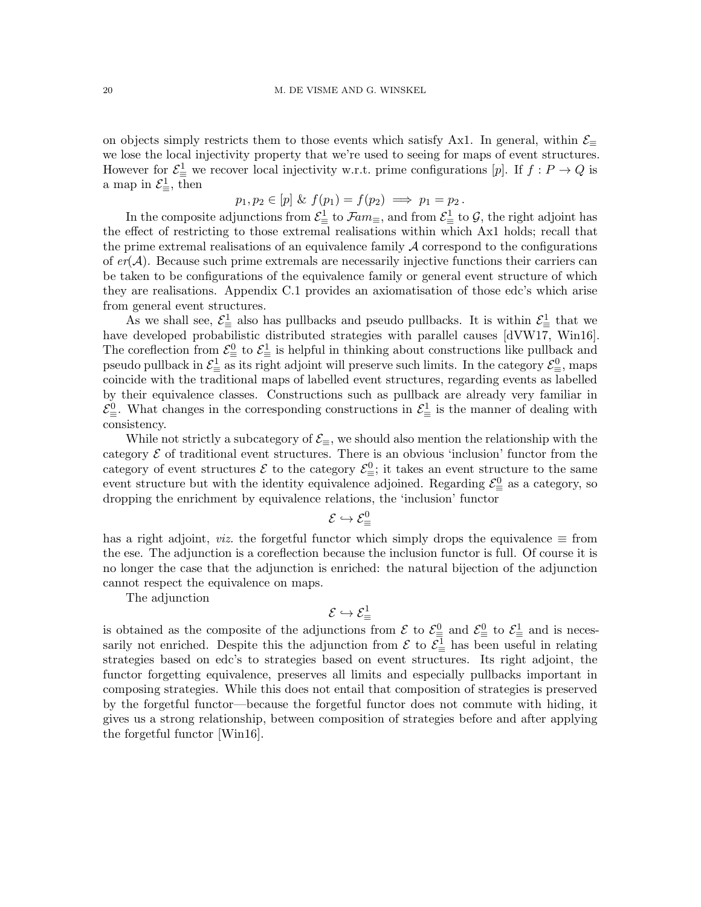on objects simply restricts them to those events which satisfy Ax1. In general, within  $\mathcal{E}_\equiv$ we lose the local injectivity property that we're used to seeing for maps of event structures. However for  $\mathcal{E}^1_{\equiv}$  we recover local injectivity w.r.t. prime configurations [p]. If  $f: P \to Q$  is a map in  $\mathcal{E}^1_{\equiv}$ , then

$$
p_1, p_2 \in [p] \& f(p_1) = f(p_2) \implies p_1 = p_2.
$$

In the composite adjunctions from  $\mathcal{E}^1_\equiv$  to  $\mathcal{F}\!am_\equiv$ , and from  $\mathcal{E}^1_\equiv$  to  $\mathcal{G}$ , the right adjoint has the effect of restricting to those extremal realisations within which Ax1 holds; recall that the prime extremal realisations of an equivalence family  $A$  correspond to the configurations of  $er(\mathcal{A})$ . Because such prime extremals are necessarily injective functions their carriers can be taken to be configurations of the equivalence family or general event structure of which they are realisations. Appendix [C.1](#page-28-0) provides an axiomatisation of those edc's which arise from general event structures.

As we shall see,  $\mathcal{E}^1_{\equiv}$  also has pullbacks and pseudo pullbacks. It is within  $\mathcal{E}^1_{\equiv}$  that we have developed probabilistic distributed strategies with parallel causes [\[dVW17,](#page-24-0) [Win16\]](#page-24-2). The coreflection from  $\mathcal{E}^0_{\equiv}$  to  $\mathcal{E}^1_{\equiv}$  is helpful in thinking about constructions like pullback and pseudo pullback in  $\mathcal{E}^1_\equiv$  as its right adjoint will preserve such limits. In the category  $\mathcal{E}^0_\equiv$ , maps coincide with the traditional maps of labelled event structures, regarding events as labelled by their equivalence classes. Constructions such as pullback are already very familiar in  $\mathcal{E}^0_{\equiv}$ . What changes in the corresponding constructions in  $\mathcal{E}^1_{\equiv}$  is the manner of dealing with consistency.

While not strictly a subcategory of  $\mathcal{E}_{\equiv}$ , we should also mention the relationship with the category  $\mathcal E$  of traditional event structures. There is an obvious 'inclusion' functor from the category of event structures  $\mathcal E$  to the category  $\mathcal E^0_{\equiv}$ ; it takes an event structure to the same event structure but with the identity equivalence adjoined. Regarding  $\mathcal{E}^0_{\equiv}$  as a category, so dropping the enrichment by equivalence relations, the 'inclusion' functor

$$
\mathcal{E} \hookrightarrow \mathcal{E}^0_\equiv
$$

has a right adjoint, *viz.* the forgetful functor which simply drops the equivalence  $\equiv$  from the ese. The adjunction is a coreflection because the inclusion functor is full. Of course it is no longer the case that the adjunction is enriched: the natural bijection of the adjunction cannot respect the equivalence on maps.

The adjunction

$$
\mathcal{E} \hookrightarrow \mathcal{E}^1_\equiv
$$

<span id="page-19-0"></span>is obtained as the composite of the adjunctions from  $\mathcal{E}$  to  $\mathcal{E}^0$  and  $\mathcal{E}^0$  to  $\mathcal{E}^1$  and is necessarily not enriched. Despite this the adjunction from  $\mathcal{E}$  to  $\mathcal{E}^1$  has been useful in relating strategies based on edc's to strategies based on event structures. Its right adjoint, the functor forgetting equivalence, preserves all limits and especially pullbacks important in composing strategies. While this does not entail that composition of strategies is preserved by the forgetful functor—because the forgetful functor does not commute with hiding, it gives us a strong relationship, between composition of strategies before and after applying the forgetful functor [\[Win16\]](#page-24-2).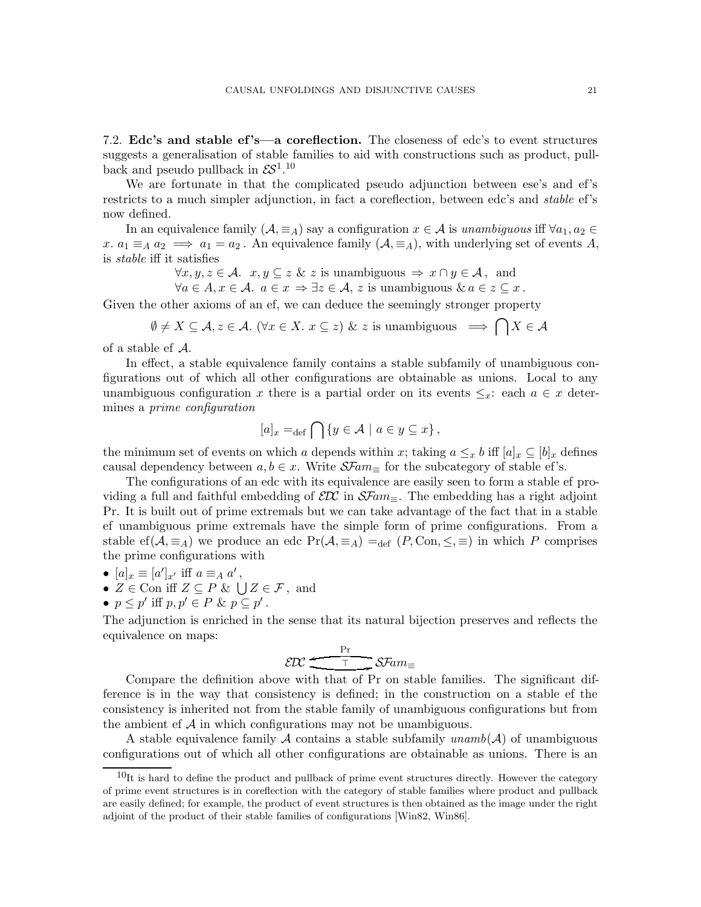7.2. Edc's and stable ef 's—a coreflection. The closeness of edc's to event structures suggests a generalisation of stable families to aid with constructions such as product, pullback and pseudo pullback in  $\mathcal{E}^{1,10}$  $\mathcal{E}^{1,10}$  $\mathcal{E}^{1,10}$ 

We are fortunate in that the complicated pseudo adjunction between ese's and ef's restricts to a much simpler adjunction, in fact a coreflection, between edc's and stable ef's now defined.

In an equivalence family  $(A, \equiv_A)$  say a configuration  $x \in A$  is unambiguous iff  $\forall a_1, a_2 \in A$ x.  $a_1 \equiv_A a_2 \implies a_1 = a_2$ . An equivalence family  $(A, \equiv_A A)$ , with underlying set of events A, is stable iff it satisfies

$$
\forall x, y, z \in \mathcal{A}. \ \ x, y \subseteq z \ \& \ z \text{ is unambiguous} \ \Rightarrow \ x \cap y \in \mathcal{A}, \text{ and}
$$

 $\forall a \in A, x \in A$ .  $a \in x \Rightarrow \exists z \in A, z$  is unambiguous  $\& a \in z \subseteq x$ .

Given the other axioms of an ef, we can deduce the seemingly stronger property

$$
\emptyset \neq X \subseteq \mathcal{A}, z \in \mathcal{A}.
$$
 ( $\forall x \in X.$   $x \subseteq z$ ) & z is unambiguous  $\implies \bigcap X \in \mathcal{A}$ 

of a stable ef A.

In effect, a stable equivalence family contains a stable subfamily of unambiguous configurations out of which all other configurations are obtainable as unions. Local to any unambiguous configuration x there is a partial order on its events  $\leq_x$ : each  $a \in x$  determines a prime configuration

$$
[a]_x =_{\text{def}} \bigcap \{ y \in \mathcal{A} \mid a \in y \subseteq x \},\
$$

the minimum set of events on which a depends within x; taking  $a \leq_x b$  iff  $[a]_x \subseteq [b]_x$  defines causal dependency between  $a, b \in \mathcal{X}$ . Write  $\mathcal{S} \mathcal{F}am_{\equiv}$  for the subcategory of stable ef's.

The configurations of an edc with its equivalence are easily seen to form a stable ef providing a full and faithful embedding of  $\mathcal{E}\mathcal{D}\mathcal{C}$  in  $\mathcal{S}\mathcal{F}am_{\equiv}$ . The embedding has a right adjoint Pr. It is built out of prime extremals but we can take advantage of the fact that in a stable ef unambiguous prime extremals have the simple form of prime configurations. From a stable ef( $A, \equiv_A$ ) we produce an edc  $Pr(A, \equiv_A) =_{def} (P, Con, \leq, \equiv)$  in which P comprises the prime configurations with

- $[a]_x \equiv [a']_{x'}$  iff  $a \equiv_A a'$ ,
- $Z \in \text{Con}$  iff  $Z \subseteq P \& \bigcup Z \in \mathcal{F}$ , and
- $p \leq p'$  iff  $p, p' \in P$  &  $p \subseteq p'$ .

The adjunction is enriched in the sense that its natural bijection preserves and reflects the equivalence on maps:

$$
\mathcal{EDC} \xrightarrow{\Pr} \mathcal{S\!F\!am_{\equiv}}
$$

Compare the definition above with that of Pr on stable families. The significant difference is in the way that consistency is defined; in the construction on a stable ef the consistency is inherited not from the stable family of unambiguous configurations but from the ambient ef  $A$  in which configurations may not be unambiguous.

A stable equivalence family A contains a stable subfamily unamb $(A)$  of unambiguous configurations out of which all other configurations are obtainable as unions. There is an

<span id="page-20-0"></span> $10$ It is hard to define the product and pullback of prime event structures directly. However the category of prime event structures is in coreflection with the category of stable families where product and pullback are easily defined; for example, the product of event structures is then obtained as the image under the right adjoint of the product of their stable families of configurations [\[Win82,](#page-24-10) [Win86\]](#page-24-8).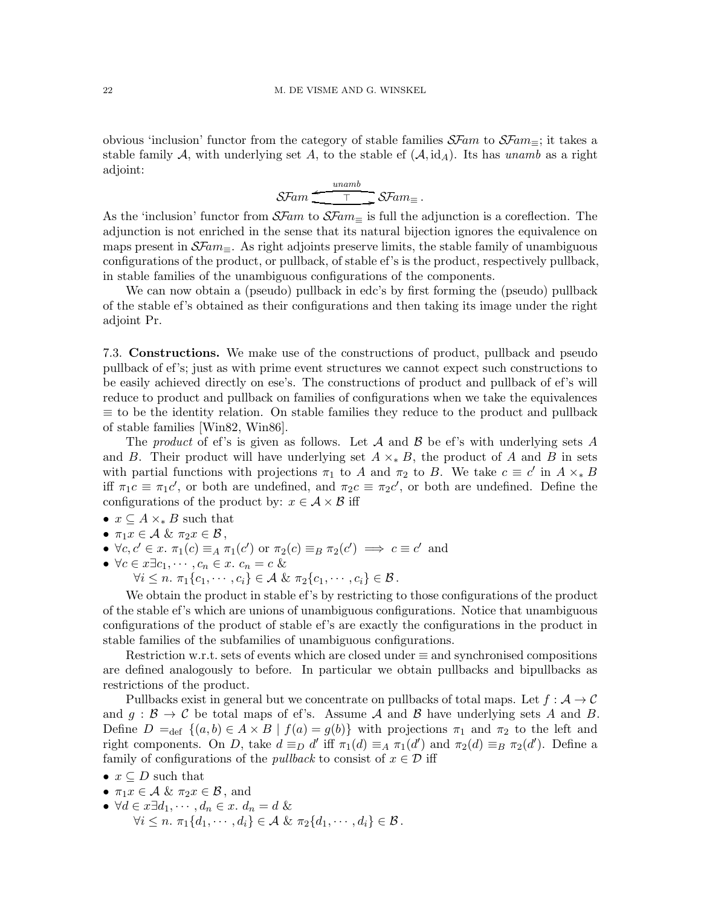obvious 'inclusion' functor from the category of stable families  $\mathcal{S}F$ am to  $\mathcal{S}F$ am $\equiv$ ; it takes a stable family A, with underlying set A, to the stable ef  $(A, id_A)$ . Its has unamb as a right adjoint:

> $\mathcal{S}Fam$   $\overline{\mathcal{I}}$   $\mathcal{S}Fam_{\equiv}$ .  $\leftarrow$   $\frac{unamb}{\top}$

As the 'inclusion' functor from  $\mathcal{S}Fam$  to  $\mathcal{S}Fam$  is full the adjunction is a coreflection. The adjunction is not enriched in the sense that its natural bijection ignores the equivalence on maps present in  $\mathcal{S}Fam=$ . As right adjoints preserve limits, the stable family of unambiguous configurations of the product, or pullback, of stable ef's is the product, respectively pullback, in stable families of the unambiguous configurations of the components.

We can now obtain a (pseudo) pullback in edc's by first forming the (pseudo) pullback of the stable ef's obtained as their configurations and then taking its image under the right adjoint Pr.

<span id="page-21-0"></span>7.3. Constructions. We make use of the constructions of product, pullback and pseudo pullback of ef's; just as with prime event structures we cannot expect such constructions to be easily achieved directly on ese's. The constructions of product and pullback of ef's will reduce to product and pullback on families of configurations when we take the equivalences  $\equiv$  to be the identity relation. On stable families they reduce to the product and pullback of stable families [\[Win82,](#page-24-10) [Win86\]](#page-24-8).

The product of ef's is given as follows. Let A and B be ef's with underlying sets A and B. Their product will have underlying set  $A \times_{\ast} B$ , the product of A and B in sets with partial functions with projections  $\pi_1$  to A and  $\pi_2$  to B. We take  $c \equiv c'$  in  $A \times_{*} B$ iff  $\pi_1 c \equiv \pi_1 c'$ , or both are undefined, and  $\pi_2 c \equiv \pi_2 c'$ , or both are undefined. Define the configurations of the product by:  $x \in \mathcal{A} \times \mathcal{B}$  iff

- $x \subseteq A \times B$  such that
- $\pi_1 x \in \mathcal{A}$  &  $\pi_2 x \in \mathcal{B}$ ,
- $\forall c, c' \in \mathcal{x}$ .  $\pi_1(c) \equiv_A \pi_1(c')$  or  $\pi_2(c) \equiv_B \pi_2(c') \implies c \equiv c'$  and
- $\forall c \in x \exists c_1, \dots, c_n \in x.$   $c_n = c \&$

 $\forall i \leq n$ .  $\pi_1\{c_1, \cdots, c_i\} \in \mathcal{A}$  &  $\pi_2\{c_1, \cdots, c_i\} \in \mathcal{B}$ .

We obtain the product in stable ef's by restricting to those configurations of the product of the stable ef's which are unions of unambiguous configurations. Notice that unambiguous configurations of the product of stable ef's are exactly the configurations in the product in stable families of the subfamilies of unambiguous configurations.

Restriction w.r.t. sets of events which are closed under ≡ and synchronised compositions are defined analogously to before. In particular we obtain pullbacks and bipullbacks as restrictions of the product.

Pullbacks exist in general but we concentrate on pullbacks of total maps. Let  $f : A \to C$ and  $g : \mathcal{B} \to \mathcal{C}$  be total maps of ef's. Assume A and B have underlying sets A and B. Define  $D =_{def} \{(a, b) \in A \times B \mid f(a) = g(b)\}\$  with projections  $\pi_1$  and  $\pi_2$  to the left and right components. On D, take  $d \equiv_D d'$  iff  $\pi_1(d) \equiv_A \pi_1(d')$  and  $\pi_2(d) \equiv_B \pi_2(d')$ . Define a family of configurations of the *pullback* to consist of  $x \in \mathcal{D}$  iff

- $x \subseteq D$  such that
- $\pi_1 x \in \mathcal{A}$  &  $\pi_2 x \in \mathcal{B}$ , and
- $\forall d \in x \exists d_1, \cdots, d_n \in x. d_n = d \&$  $\forall i \leq n, \pi_1\{d_1, \cdots, d_i\} \in \mathcal{A} \& \pi_2\{d_1, \cdots, d_i\} \in \mathcal{B}.$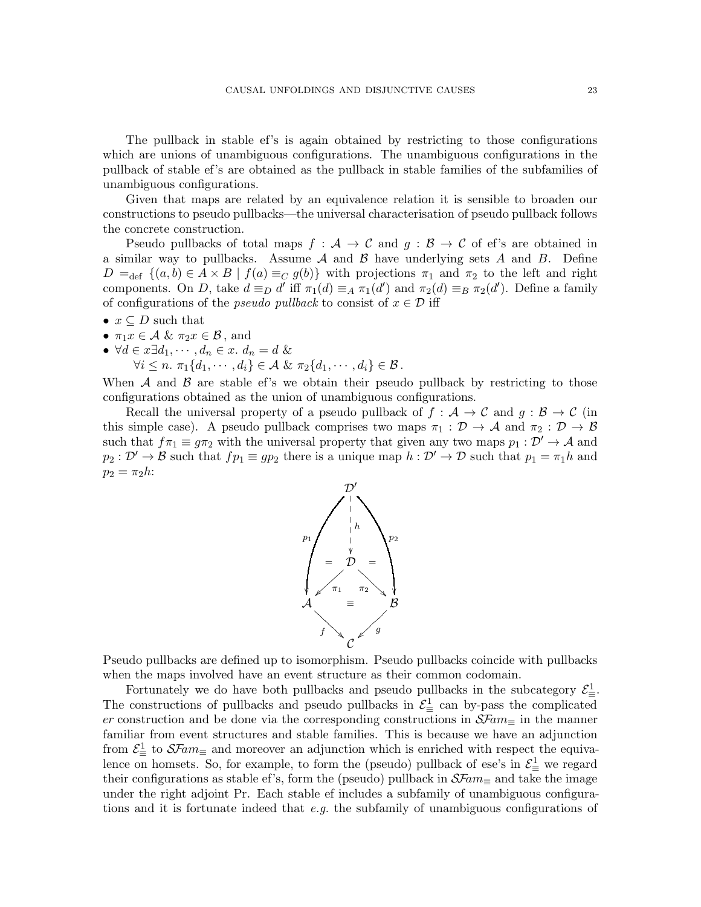The pullback in stable ef's is again obtained by restricting to those configurations which are unions of unambiguous configurations. The unambiguous configurations in the pullback of stable ef's are obtained as the pullback in stable families of the subfamilies of unambiguous configurations.

Given that maps are related by an equivalence relation it is sensible to broaden our constructions to pseudo pullbacks—the universal characterisation of pseudo pullback follows the concrete construction.

Pseudo pullbacks of total maps  $f : A \to C$  and  $g : B \to C$  of ef's are obtained in a similar way to pullbacks. Assume  $A$  and  $B$  have underlying sets  $A$  and  $B$ . Define  $D =_{def}$   $\{(a, b) \in A \times B \mid f(a) \equiv_C g(b)\}\$  with projections  $\pi_1$  and  $\pi_2$  to the left and right components. On D, take  $d \equiv_D d'$  iff  $\pi_1(d) \equiv_A \pi_1(d')$  and  $\pi_2(d) \equiv_B \pi_2(d')$ . Define a family of configurations of the *pseudo pullback* to consist of  $x \in \mathcal{D}$  iff

- $x \subseteq D$  such that
- $\pi_1 x \in \mathcal{A}$  &  $\pi_2 x \in \mathcal{B}$ , and
- $\forall d \in x \exists d_1, \cdots, d_n \in x. d_n = d \&$

 $\forall i \leq n$ .  $\pi_1\{d_1, \cdots, d_i\} \in \mathcal{A}$  &  $\pi_2\{d_1, \cdots, d_i\} \in \mathcal{B}$ .

When  $\mathcal A$  and  $\mathcal B$  are stable ef's we obtain their pseudo pullback by restricting to those configurations obtained as the union of unambiguous configurations.

Recall the universal property of a pseudo pullback of  $f : A \to C$  and  $g : B \to C$  (in this simple case). A pseudo pullback comprises two maps  $\pi_1 : \mathcal{D} \to \mathcal{A}$  and  $\pi_2 : \mathcal{D} \to \mathcal{B}$ such that  $f\pi_1 \equiv g\pi_2$  with the universal property that given any two maps  $p_1 : \mathcal{D}' \to \mathcal{A}$  and  $p_2 : \mathcal{D}' \to \mathcal{B}$  such that  $fp_1 \equiv gp_2$  there is a unique map  $h : \mathcal{D}' \to \mathcal{D}$  such that  $p_1 = \pi_1 h$  and  $p_2 = \pi_2 h$ :



Pseudo pullbacks are defined up to isomorphism. Pseudo pullbacks coincide with pullbacks when the maps involved have an event structure as their common codomain.

Fortunately we do have both pullbacks and pseudo pullbacks in the subcategory  $\mathcal{E}^1_{\equiv}$ . The constructions of pullbacks and pseudo pullbacks in  $\mathcal{E}^1_{\equiv}$  can by-pass the complicated er construction and be done via the corresponding constructions in  $\mathcal{S} \mathcal{F}am_{\equiv}$  in the manner familiar from event structures and stable families. This is because we have an adjunction from  $\mathcal{E}^1_{\equiv}$  to  $\mathcal{S}$ Fam<sub> $\equiv$ </sub> and moreover an adjunction which is enriched with respect the equivalence on homsets. So, for example, to form the (pseudo) pullback of ese's in  $\mathcal{E}^1_{\equiv}$  we regard their configurations as stable ef's, form the (pseudo) pullback in  $\mathcal{S} \mathcal{F}am_{\equiv}$  and take the image under the right adjoint Pr. Each stable ef includes a subfamily of unambiguous configurations and it is fortunate indeed that  $e.g.$  the subfamily of unambiguous configurations of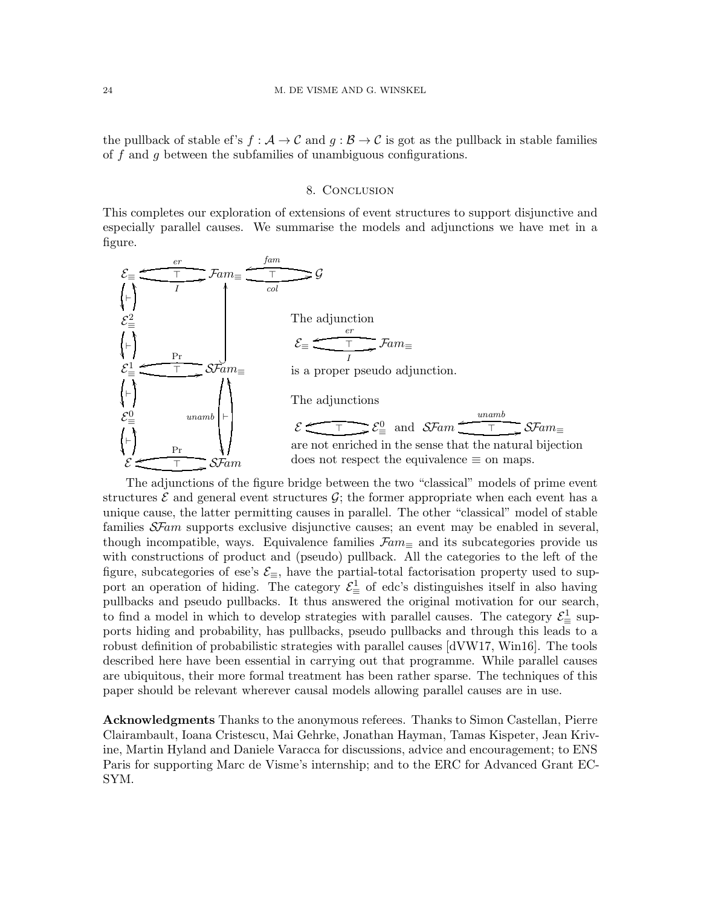the pullback of stable ef's  $f : A \to C$  and  $g : B \to C$  is got as the pullback in stable families of f and g between the subfamilies of unambiguous configurations.

# 8. Conclusion

This completes our exploration of extensions of event structures to support disjunctive and especially parallel causes. We summarise the models and adjunctions we have met in a figure.



The adjunctions of the figure bridge between the two "classical" models of prime event structures  $\mathcal E$  and general event structures  $\mathcal G$ ; the former appropriate when each event has a unique cause, the latter permitting causes in parallel. The other "classical" model of stable families  $S\mathcal{F}am$  supports exclusive disjunctive causes; an event may be enabled in several, though incompatible, ways. Equivalence families  $\mathcal{F}am_\equiv$  and its subcategories provide us with constructions of product and (pseudo) pullback. All the categories to the left of the figure, subcategories of ese's  $\mathcal{E}_{\equiv}$ , have the partial-total factorisation property used to support an operation of hiding. The category  $\mathcal{E}^1_{\equiv}$  of edc's distinguishes itself in also having pullbacks and pseudo pullbacks. It thus answered the original motivation for our search, to find a model in which to develop strategies with parallel causes. The category  $\mathcal{E}^1_{\equiv}$  supports hiding and probability, has pullbacks, pseudo pullbacks and through this leads to a robust definition of probabilistic strategies with parallel causes [\[dVW17,](#page-24-0) [Win16\]](#page-24-2). The tools described here have been essential in carrying out that programme. While parallel causes are ubiquitous, their more formal treatment has been rather sparse. The techniques of this paper should be relevant wherever causal models allowing parallel causes are in use.

Acknowledgments Thanks to the anonymous referees. Thanks to Simon Castellan, Pierre Clairambault, Ioana Cristescu, Mai Gehrke, Jonathan Hayman, Tamas Kispeter, Jean Krivine, Martin Hyland and Daniele Varacca for discussions, advice and encouragement; to ENS Paris for supporting Marc de Visme's internship; and to the ERC for Advanced Grant EC-SYM.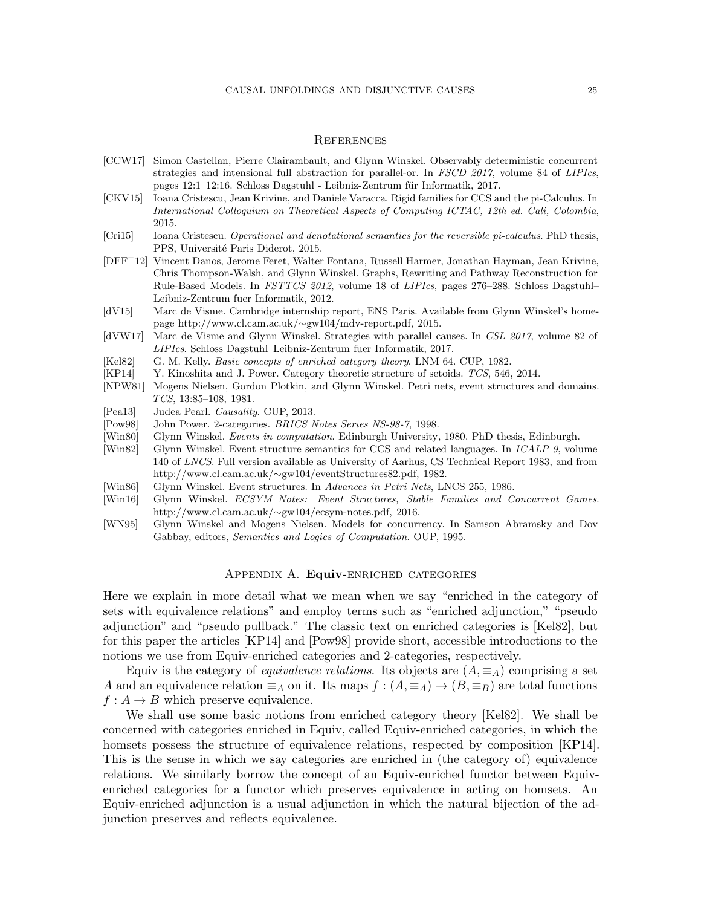### **REFERENCES**

- <span id="page-24-1"></span>[CCW17] Simon Castellan, Pierre Clairambault, and Glynn Winskel. Observably deterministic concurrent strategies and intensional full abstraction for parallel-or. In *FSCD 2017*, volume 84 of *LIPIcs*, pages 12:1-12:16. Schloss Dagstuhl - Leibniz-Zentrum für Informatik, 2017.
- <span id="page-24-5"></span>[CKV15] Ioana Cristescu, Jean Krivine, and Daniele Varacca. Rigid families for CCS and the pi-Calculus. In *International Colloquium on Theoretical Aspects of Computing ICTAC, 12th ed. Cali, Colombia*, 2015.
- <span id="page-24-4"></span>[Cri15] Ioana Cristescu. *Operational and denotational semantics for the reversible pi-calculus*. PhD thesis, PPS, Université Paris Diderot, 2015.
- <span id="page-24-6"></span>[DFF<sup>+</sup>12] Vincent Danos, Jerome Feret, Walter Fontana, Russell Harmer, Jonathan Hayman, Jean Krivine, Chris Thompson-Walsh, and Glynn Winskel. Graphs, Rewriting and Pathway Reconstruction for Rule-Based Models. In *FSTTCS 2012*, volume 18 of *LIPIcs*, pages 276–288. Schloss Dagstuhl– Leibniz-Zentrum fuer Informatik, 2012.
- <span id="page-24-13"></span>[dV15] Marc de Visme. Cambridge internship report, ENS Paris. Available from Glynn Winskel's homepage http://www.cl.cam.ac.uk/∼gw104/mdv-report.pdf, 2015.
- <span id="page-24-0"></span>[dVW17] Marc de Visme and Glynn Winskel. Strategies with parallel causes. In *CSL 2017*, volume 82 of *LIPIcs*. Schloss Dagstuhl–Leibniz-Zentrum fuer Informatik, 2017.
- <span id="page-24-14"></span>[Kel82] G. M. Kelly. *Basic concepts of enriched category theory*. LNM 64. CUP, 1982.
- <span id="page-24-15"></span>[KP14] Y. Kinoshita and J. Power. Category theoretic structure of setoids. *TCS*, 546, 2014.
- <span id="page-24-9"></span>[NPW81] Mogens Nielsen, Gordon Plotkin, and Glynn Winskel. Petri nets, event structures and domains. *TCS*, 13:85–108, 1981.
- <span id="page-24-11"></span>[Pea13] Judea Pearl. *Causality*. CUP, 2013.
- <span id="page-24-16"></span>[Pow98] John Power. 2-categories. *BRICS Notes Series NS-98-7*, 1998.
- <span id="page-24-7"></span>[Win80] Glynn Winskel. *Events in computation*. Edinburgh University, 1980. PhD thesis, Edinburgh.
- <span id="page-24-10"></span>[Win82] Glynn Winskel. Event structure semantics for CCS and related languages. In *ICALP 9*, volume 140 of *LNCS*. Full version available as University of Aarhus, CS Technical Report 1983, and from http://www.cl.cam.ac.uk/∼gw104/eventStructures82.pdf, 1982.
- <span id="page-24-8"></span>[Win86] Glynn Winskel. Event structures. In *Advances in Petri Nets*, LNCS 255, 1986.
- <span id="page-24-2"></span>[Win16] Glynn Winskel. *ECSYM Notes: Event Structures, Stable Families and Concurrent Games*. http://www.cl.cam.ac.uk/∼gw104/ecsym-notes.pdf, 2016.
- <span id="page-24-12"></span><span id="page-24-3"></span>[WN95] Glynn Winskel and Mogens Nielsen. Models for concurrency. In Samson Abramsky and Dov Gabbay, editors, *Semantics and Logics of Computation*. OUP, 1995.

### Appendix A. Equiv-enriched categories

Here we explain in more detail what we mean when we say "enriched in the category of sets with equivalence relations" and employ terms such as "enriched adjunction," "pseudo adjunction" and "pseudo pullback." The classic text on enriched categories is [\[Kel82\]](#page-24-14), but for this paper the articles [\[KP14\]](#page-24-15) and [\[Pow98\]](#page-24-16) provide short, accessible introductions to the notions we use from Equiv-enriched categories and 2-categories, respectively.

Equiv is the category of *equivalence relations*. Its objects are  $(A, \equiv_A)$  comprising a set A and an equivalence relation  $\equiv_A$  on it. Its maps  $f : (A, \equiv_A) \to (B, \equiv_B)$  are total functions  $f: A \rightarrow B$  which preserve equivalence.

We shall use some basic notions from enriched category theory [\[Kel82\]](#page-24-14). We shall be concerned with categories enriched in Equiv, called Equiv-enriched categories, in which the homsets possess the structure of equivalence relations, respected by composition [\[KP14\]](#page-24-15). This is the sense in which we say categories are enriched in (the category of) equivalence relations. We similarly borrow the concept of an Equiv-enriched functor between Equivenriched categories for a functor which preserves equivalence in acting on homsets. An Equiv-enriched adjunction is a usual adjunction in which the natural bijection of the adjunction preserves and reflects equivalence.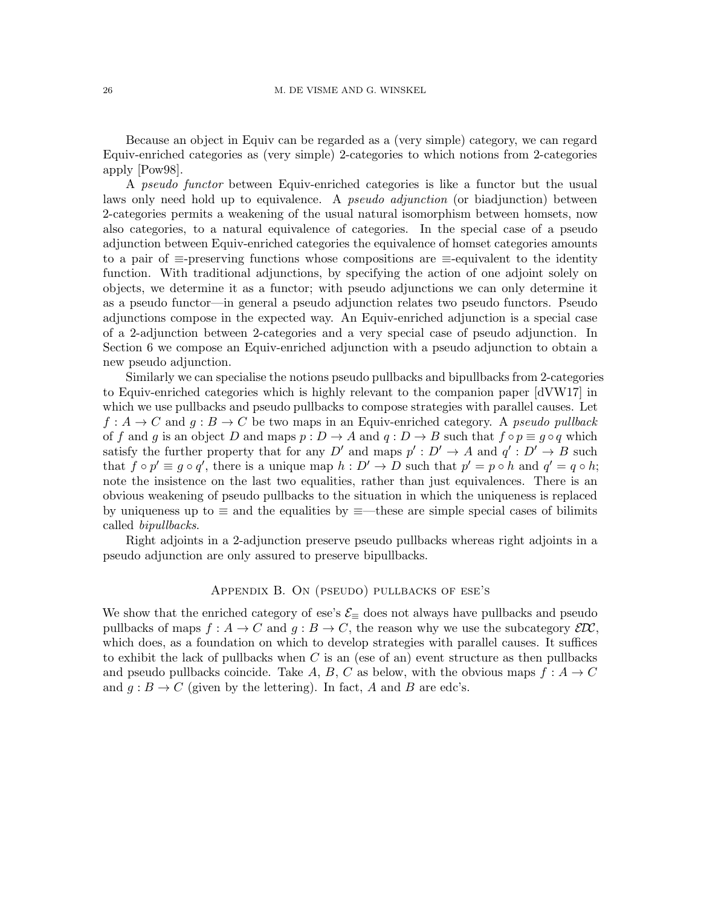Because an object in Equiv can be regarded as a (very simple) category, we can regard Equiv-enriched categories as (very simple) 2-categories to which notions from 2-categories apply [\[Pow98\]](#page-24-16).

A pseudo functor between Equiv-enriched categories is like a functor but the usual laws only need hold up to equivalence. A *pseudo adjunction* (or biadjunction) between 2-categories permits a weakening of the usual natural isomorphism between homsets, now also categories, to a natural equivalence of categories. In the special case of a pseudo adjunction between Equiv-enriched categories the equivalence of homset categories amounts to a pair of ≡-preserving functions whose compositions are ≡-equivalent to the identity function. With traditional adjunctions, by specifying the action of one adjoint solely on objects, we determine it as a functor; with pseudo adjunctions we can only determine it as a pseudo functor—in general a pseudo adjunction relates two pseudo functors. Pseudo adjunctions compose in the expected way. An Equiv-enriched adjunction is a special case of a 2-adjunction between 2-categories and a very special case of pseudo adjunction. In Section [6](#page-15-1) we compose an Equiv-enriched adjunction with a pseudo adjunction to obtain a new pseudo adjunction.

Similarly we can specialise the notions pseudo pullbacks and bipullbacks from 2-categories to Equiv-enriched categories which is highly relevant to the companion paper [\[dVW17\]](#page-24-0) in which we use pullbacks and pseudo pullbacks to compose strategies with parallel causes. Let  $f: A \to C$  and  $g: B \to C$  be two maps in an Equiv-enriched category. A pseudo pullback of f and g is an object D and maps  $p: D \to A$  and  $q: D \to B$  such that  $f \circ p \equiv g \circ q$  which satisfy the further property that for any D' and maps  $p': D' \to A$  and  $q': D' \to B$  such that  $f \circ p' \equiv g \circ q'$ , there is a unique map  $h: D' \to D$  such that  $p' = p \circ h$  and  $q' = q \circ h$ ; note the insistence on the last two equalities, rather than just equivalences. There is an obvious weakening of pseudo pullbacks to the situation in which the uniqueness is replaced by uniqueness up to  $\equiv$  and the equalities by  $\equiv$ —these are simple special cases of bilimits called bipullbacks.

<span id="page-25-0"></span>Right adjoints in a 2-adjunction preserve pseudo pullbacks whereas right adjoints in a pseudo adjunction are only assured to preserve bipullbacks.

# Appendix B. On (pseudo) pullbacks of ese's

We show that the enriched category of ese's  $\mathcal{E}_{\equiv}$  does not always have pullbacks and pseudo pullbacks of maps  $f : A \to C$  and  $g : B \to C$ , the reason why we use the subcategory  $\mathcal{E}D\mathcal{C}$ , which does, as a foundation on which to develop strategies with parallel causes. It suffices to exhibit the lack of pullbacks when  $C$  is an (ese of an) event structure as then pullbacks and pseudo pullbacks coincide. Take A, B, C as below, with the obvious maps  $f : A \rightarrow C$ and  $g : B \to C$  (given by the lettering). In fact, A and B are edc's.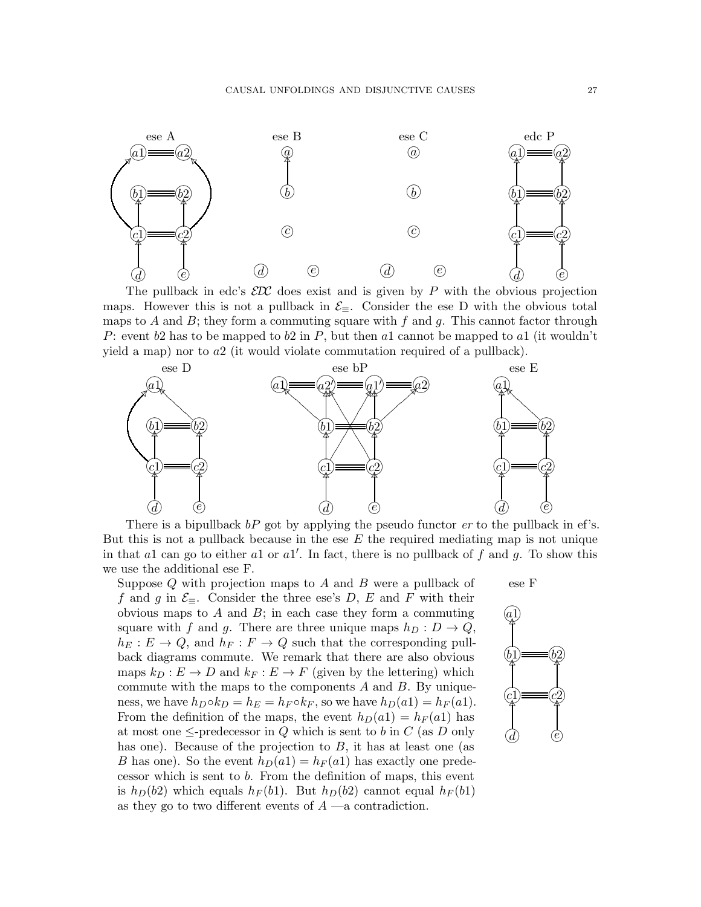

The pullback in edc's  $\mathcal{E}\mathcal{D}\mathcal{C}$  does exist and is given by P with the obvious projection maps. However this is not a pullback in  $\mathcal{E}_{\equiv}$ . Consider the ese D with the obvious total maps to A and B; they form a commuting square with f and g. This cannot factor through P: event b2 has to be mapped to b2 in P, but then al cannot be mapped to al (it wouldn't yield a map) nor to  $a2$  (it would violate commutation required of a pullback).



There is a bipullback  $bP$  got by applying the pseudo functor  $er$  to the pullback in ef's. But this is not a pullback because in the ese  $E$  the required mediating map is not unique in that al can go to either al or al'. In fact, there is no pullback of f and g. To show this we use the additional ese F.

Suppose Q with projection maps to A and B were a pullback of f and g in  $\mathcal{E}_{\equiv}$ . Consider the three ese's D, E and F with their obvious maps to  $A$  and  $B$ ; in each case they form a commuting square with f and g. There are three unique maps  $h_D : D \to Q$ ,  $h_E : E \to Q$ , and  $h_F : F \to Q$  such that the corresponding pullback diagrams commute. We remark that there are also obvious maps  $k_D : E \to D$  and  $k_F : E \to F$  (given by the lettering) which commute with the maps to the components  $A$  and  $B$ . By uniqueness, we have  $h_D \circ k_D = h_E = h_F \circ k_F$ , so we have  $h_D(a1) = h_F(a1)$ . From the definition of the maps, the event  $h_D(a1) = h_F(a1)$  has at most one  $\leq$ -predecessor in Q which is sent to b in C (as D only has one). Because of the projection to  $B$ , it has at least one (as B has one). So the event  $h_D(a1) = h_F(a1)$  has exactly one predecessor which is sent to b. From the definition of maps, this event is  $h_D(b2)$  which equals  $h_F(b1)$ . But  $h_D(b2)$  cannot equal  $h_F(b1)$ as they go to two different events of  $A$  —a contradiction.

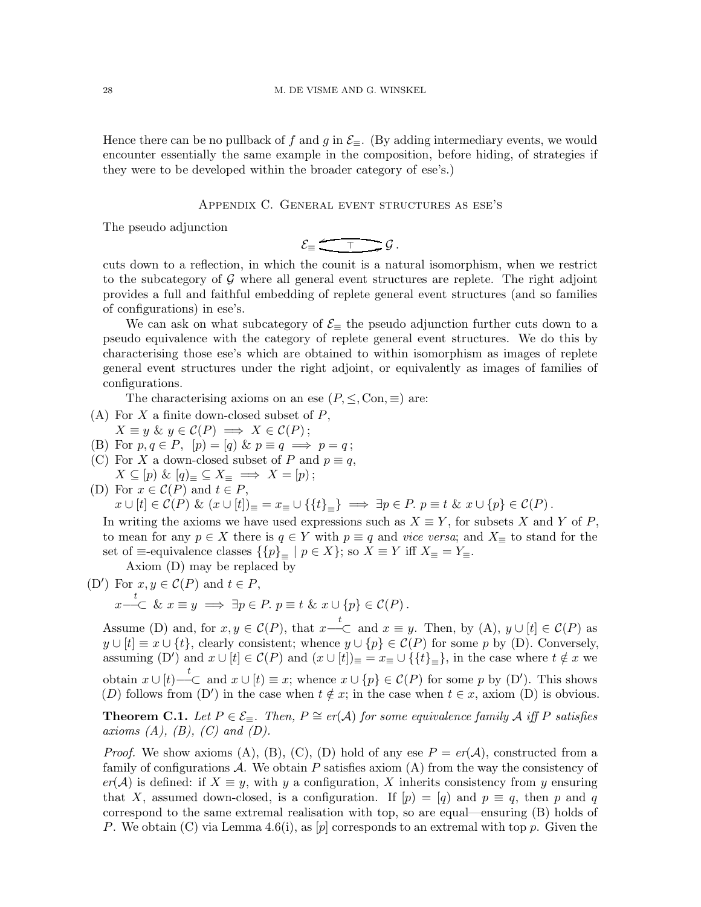Hence there can be no pullback of f and g in  $\mathcal{E}_{\equiv}$ . (By adding intermediary events, we would encounter essentially the same example in the composition, before hiding, of strategies if they were to be developed within the broader category of ese's.)

Appendix C. General event structures as ese's

<span id="page-27-0"></span>The pseudo adjunction

$$
\mathcal{E}_{\equiv} \xrightarrow{\tau} \mathcal{G}.
$$

cuts down to a reflection, in which the counit is a natural isomorphism, when we restrict to the subcategory of  $\mathcal G$  where all general event structures are replete. The right adjoint provides a full and faithful embedding of replete general event structures (and so families of configurations) in ese's.

We can ask on what subcategory of  $\mathcal{E}_{\equiv}$  the pseudo adjunction further cuts down to a pseudo equivalence with the category of replete general event structures. We do this by characterising those ese's which are obtained to within isomorphism as images of replete general event structures under the right adjoint, or equivalently as images of families of configurations.

The characterising axioms on an ese  $(P, \leq, \text{Con}, \equiv)$  are:

- (A) For  $X$  a finite down-closed subset of  $P$ ,
- $X \equiv y \& y \in \mathcal{C}(P) \implies X \in \mathcal{C}(P);$
- (B) For  $p, q \in P$ ,  $[p] = [q] \& p \equiv q \implies p = q$ ;
- (C) For X a down-closed subset of P and  $p \equiv q$ ,
- $X \subseteq [p] \& [q]_{\equiv} \subseteq X_{\equiv} \implies X = [p);$ (D) For  $x \in \mathcal{C}(P)$  and  $t \in P$ ,

 $x \cup [t] \in \mathcal{C}(P) \& (x \cup [t])_{\equiv} = x_{\equiv} \cup \{\{t\}_{\equiv}\} \implies \exists p \in P. \ p \equiv t \& x \cup \{p\} \in \mathcal{C}(P)$ .

In writing the axioms we have used expressions such as  $X \equiv Y$ , for subsets X and Y of P, to mean for any  $p \in X$  there is  $q \in Y$  with  $p \equiv q$  and vice versa; and  $X_{\equiv}$  to stand for the set of  $\equiv$ -equivalence classes  $\{p\}_{\equiv}$  |  $p \in X\}$ ; so  $X \equiv Y$  iff  $X_{\equiv} = Y_{\equiv}$ .

Axiom (D) may be replaced by

(D') For  $x, y \in \mathcal{C}(P)$  and  $t \in P$ ,

$$
x \stackrel{t}{\longrightarrow} \& x \equiv y \implies \exists p \in P. \ p \equiv t \& x \cup \{p\} \in \mathcal{C}(P).
$$

Assume (D) and, for  $x, y \in \mathcal{C}(P)$ , that  $x \stackrel{t}{\text{---}} C$  and  $x \equiv y$ . Then, by (A),  $y \cup [t] \in \mathcal{C}(P)$  as  $y \cup [t] \equiv x \cup \{t\}$ , clearly consistent; whence  $y \cup \{p\} \in \mathcal{C}(P)$  for some p by (D). Conversely, assuming (D') and  $x \cup [t] \in \mathcal{C}(P)$  and  $(x \cup [t])_{\equiv} = x_{\equiv} \cup \{\{t\}_{\equiv}\}\)$ , in the case where  $t \notin x$  we obtain  $x \cup [t] \stackrel{t}{\text{---}} \subset$  and  $x \cup [t] \equiv x$ ; whence  $x \cup \{p\} \in \mathcal{C}(P)$  for some p by (D'). This shows (D) follows from (D') in the case when  $t \notin x$ ; in the case when  $t \in x$ , axiom (D) is obvious.

<span id="page-27-1"></span>**Theorem C.1.** Let  $P \in \mathcal{E}_{\equiv}$ . Then,  $P \cong er(\mathcal{A})$  for some equivalence family  $\mathcal{A}$  iff  $P$  satisfies axioms  $(A)$ ,  $(B)$ ,  $(C)$  and  $(D)$ .

*Proof.* We show axioms (A), (B), (C), (D) hold of any ese  $P = er(\mathcal{A})$ , constructed from a family of configurations  $\mathcal A$ . We obtain P satisfies axiom  $(A)$  from the way the consistency of  $er(\mathcal{A})$  is defined: if  $X \equiv y$ , with y a configuration, X inherits consistency from y ensuring that X, assumed down-closed, is a configuration. If  $[p] = [q]$  and  $p \equiv q$ , then p and q correspond to the same extremal realisation with top, so are equal—ensuring (B) holds of P. We obtain (C) via Lemma [4.6\(](#page-10-2)i), as [p] corresponds to an extremal with top p. Given the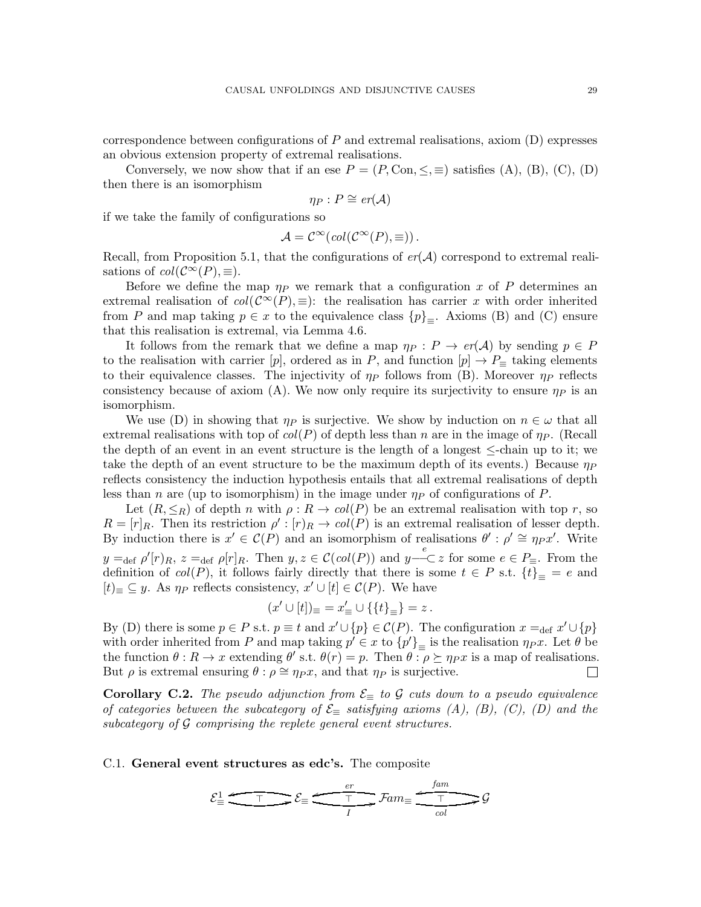correspondence between configurations of  $P$  and extremal realisations, axiom  $(D)$  expresses an obvious extension property of extremal realisations.

Conversely, we now show that if an ese  $P = (P, \text{Con}, \leq, \equiv)$  satisfies (A), (B), (C), (D) then there is an isomorphism

$$
\eta_P: P \cong \mathit{er}(\mathcal{A})
$$

if we take the family of configurations so

$$
\mathcal{A} = \mathcal{C}^{\infty}(col(\mathcal{C}^{\infty}(P), \equiv)).
$$

Recall, from Proposition [5.1,](#page-13-0) that the configurations of  $er(\mathcal{A})$  correspond to extremal realisations of  $col(\mathcal{C}^{\infty}(P), \equiv)$ .

Before we define the map  $\eta_P$  we remark that a configuration x of P determines an extremal realisation of  $col(\mathcal{C}^{\infty}(P), \equiv)$ : the realisation has carrier x with order inherited from P and map taking  $p \in x$  to the equivalence class  $\{p\}_{\equiv}$ . Axioms (B) and (C) ensure that this realisation is extremal, via Lemma [4.6.](#page-10-2)

It follows from the remark that we define a map  $\eta_P : P \to er(\mathcal{A})$  by sending  $p \in P$ to the realisation with carrier [p], ordered as in P, and function  $[p] \to P_{\equiv}$  taking elements to their equivalence classes. The injectivity of  $\eta_P$  follows from (B). Moreover  $\eta_P$  reflects consistency because of axiom (A). We now only require its surjectivity to ensure  $\eta_P$  is an isomorphism.

We use (D) in showing that  $\eta_P$  is surjective. We show by induction on  $n \in \omega$  that all extremal realisations with top of  $col(P)$  of depth less than n are in the image of  $\eta_P$ . (Recall the depth of an event in an event structure is the length of a longest  $\le$ -chain up to it; we take the depth of an event structure to be the maximum depth of its events.) Because  $\eta_P$ reflects consistency the induction hypothesis entails that all extremal realisations of depth less than n are (up to isomorphism) in the image under  $\eta_P$  of configurations of P.

Let  $(R, \leq_R)$  of depth n with  $\rho : R \to col(P)$  be an extremal realisation with top r, so  $R = [r]_R$ . Then its restriction  $\rho' : [r]_R \to col(P)$  is an extremal realisation of lesser depth. By induction there is  $x' \in \mathcal{C}(P)$  and an isomorphism of realisations  $\theta' : \rho' \cong \eta_P x'$ . Write  $y =_{def} \rho'[r]_R$ ,  $z =_{def} \rho[r]_R$ . Then  $y, z \in \mathcal{C}(col(P))$  and  $y \stackrel{e}{\text{---}} \subset z$  for some  $e \in P_{\equiv}$ . From the definition of  $col(P)$ , it follows fairly directly that there is some  $t \in P$  s.t.  $\{t\}_{\equiv} = e$  and  $[t]$ ≡ ⊆ y. As  $\eta_P$  reflects consistency,  $x' \cup [t] \in \mathcal{C}(P)$ . We have

$$
(x' \cup [t])_{\equiv} = x'_{\equiv} \cup \{\{t\}_{\equiv}\} = z.
$$

By (D) there is some  $p \in P$  s.t.  $p \equiv t$  and  $x' \cup \{p\} \in \mathcal{C}(P)$ . The configuration  $x =_{def} x' \cup \{p\}$ with order inherited from P and map taking  $p' \in x$  to  $\{p'\}_\equiv$  is the realisation  $\eta_{px}$ . Let  $\theta$  be the function  $\theta: R \to x$  extending  $\theta'$  s.t.  $\theta(r) = p$ . Then  $\theta: \rho \succeq \eta_P x$  is a map of realisations. But  $\rho$  is extremal ensuring  $\theta : \rho \cong \eta_P x$ , and that  $\eta_P$  is surjective.  $\Box$ 

**Corollary C.2.** The pseudo adjunction from  $\mathcal{E}_{\equiv}$  to G cuts down to a pseudo equivalence of categories between the subcategory of  $\mathcal{E}_{\equiv}$  satisfying axioms (A), (B), (C), (D) and the subcategory of  $G$  comprising the replete general event structures.

<span id="page-28-0"></span>C.1. General event structures as edc's. The composite

$$
\mathcal{E}_{\equiv}^1 \xrightarrow{\tau} \mathcal{E}_{\equiv} \xrightarrow{\epsilon r} \mathcal{F} \text{am}_{\equiv} \xrightarrow{\epsilon \text{mm}} \mathcal{G}
$$